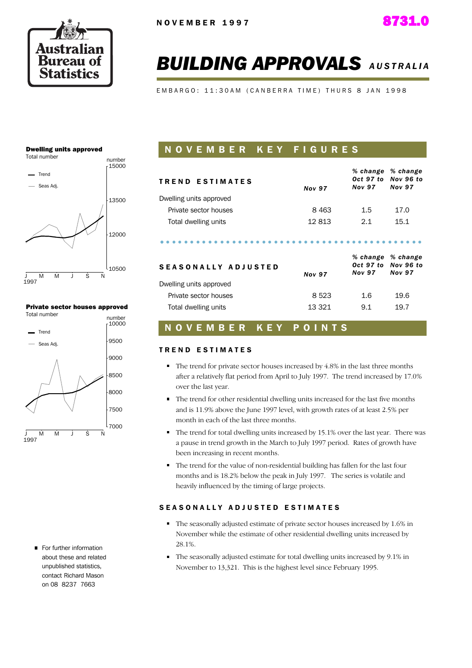

# **BUILDING APPROVALS AUSTRALIA**

EMBARGO: 11:30AM (CANBERRA TIME) THURS 8 JAN 1998

#### **Dwelling units approved**



#### **Private sector houses approved**



For further information about these and related unnublished statistics. contact Richard Mason on 08 8237 7663

## NOVEMBER KEY FIGURES

| <b>TREND ESTIMATES</b>  | <b>Nov 97</b> | <b>Nov 97</b>              | % change % change<br>Oct 97 to Nov 96 to<br><b>Nov 97</b> |
|-------------------------|---------------|----------------------------|-----------------------------------------------------------|
| Dwelling units approved |               |                            |                                                           |
| Private sector houses   | 8463          | $1.5\,$                    | 17.0                                                      |
| Total dwelling units    | 12813         | 2.1                        | 15.1                                                      |
| SEASONALLY ADJUSTED     | <b>Nov 97</b> | Oct 97 to<br><b>Nov 97</b> | % change % change<br>Nov 96 to<br><b>Nov 97</b>           |
| Dwelling units approved |               |                            |                                                           |
| Private sector houses   | 8523          | 1.6                        | 19.6                                                      |
| Total dwelling units    | 13 3 21       | 9.1                        | 19.7                                                      |

#### **NOVEMBER** KEY POINTS

#### **TREND ESTIMATES**

- $\blacksquare$  The trend for private sector houses increased by 4.8% in the last three months after a relatively flat period from April to July 1997. The trend increased by 17.0% over the last year.
- The trend for other residential dwelling units increased for the last five months and is 11.9% above the June 1997 level, with growth rates of at least 2.5% per month in each of the last three months.
- $\blacksquare$  The trend for total dwelling units increased by 15.1% over the last year. There was a pause in trend growth in the March to July 1997 period. Rates of growth have been increasing in recent months.
- The trend for the value of non-residential building has fallen for the last four months and is 18.2% below the peak in July 1997. The series is volatile and heavily influenced by the timing of large projects.

#### SEASONALLY ADJUSTED ESTIMATES

- The seasonally adjusted estimate of private sector houses increased by 1.6% in November while the estimate of other residential dwelling units increased by 28.1%.
- The seasonally adjusted estimate for total dwelling units increased by 9.1% in November to 13,321. This is the highest level since February 1995.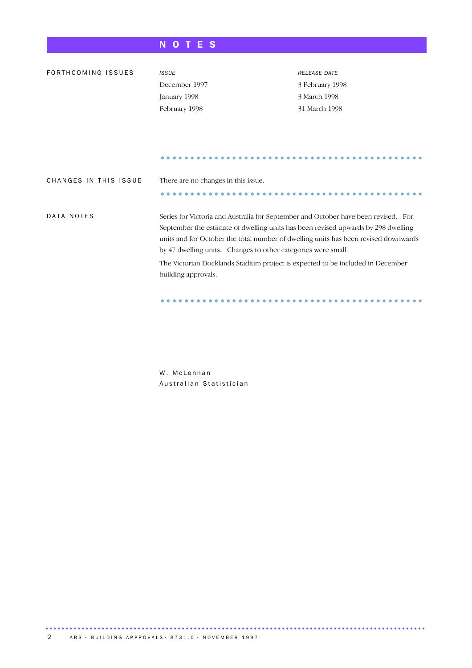## NOTES

| FORTHCOMING ISSUES    | <b>ISSUE</b>                                                                        | <b>RELEASE DATE</b> |
|-----------------------|-------------------------------------------------------------------------------------|---------------------|
|                       | December 1997                                                                       | 3 February 1998     |
|                       | January 1998                                                                        | 3 March 1998        |
|                       | February 1998                                                                       | 31 March 1998       |
|                       |                                                                                     |                     |
|                       |                                                                                     |                     |
|                       |                                                                                     |                     |
|                       |                                                                                     |                     |
|                       |                                                                                     |                     |
| CHANGES IN THIS ISSUE | There are no changes in this issue.                                                 |                     |
|                       |                                                                                     |                     |
|                       |                                                                                     |                     |
| DATA NOTES            | Series for Victoria and Australia for September and October have been revised. For  |                     |
|                       | September the estimate of dwelling units has been revised upwards by 298 dwelling   |                     |
|                       | units and for October the total number of dwelling units has been revised downwards |                     |
|                       | by 47 dwelling units. Changes to other categories were small.                       |                     |
|                       | The Victorian Docklands Stadium project is expected to be included in December      |                     |
|                       | building approvals.                                                                 |                     |
|                       |                                                                                     |                     |
|                       |                                                                                     |                     |

W. McLennan Australian Statistician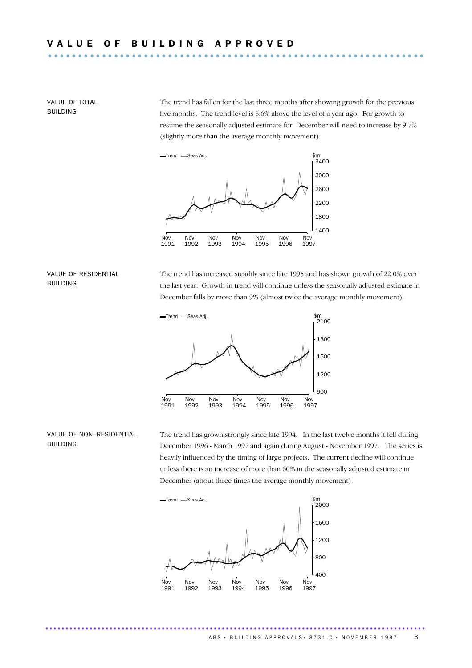VALUE OF TOTAL **BUILDING** 

The trend has fallen for the last three months after showing growth for the previous five months. The trend level is 6.6% above the level of a year ago. For growth to resume the seasonally adjusted estimate for December will need to increase by 9.7% (slightly more than the average monthly movement).



VALUE OF RESIDENTIAL **BUILDING** 

The trend has increased steadily since late 1995 and has shown growth of 22.0% over the last year. Growth in trend will continue unless the seasonally adjusted estimate in December falls by more than 9% (almost twice the average monthly movement).



#### VALUE OF NON-RESIDENTIAL **BUILDING**

The trend has grown strongly since late 1994. In the last twelve months it fell during December 1996 - March 1997 and again during August - November 1997. The series is heavily influenced by the timing of large projects. The current decline will continue unless there is an increase of more than 60% in the seasonally adjusted estimate in December (about three times the average monthly movement).



...............................................................................................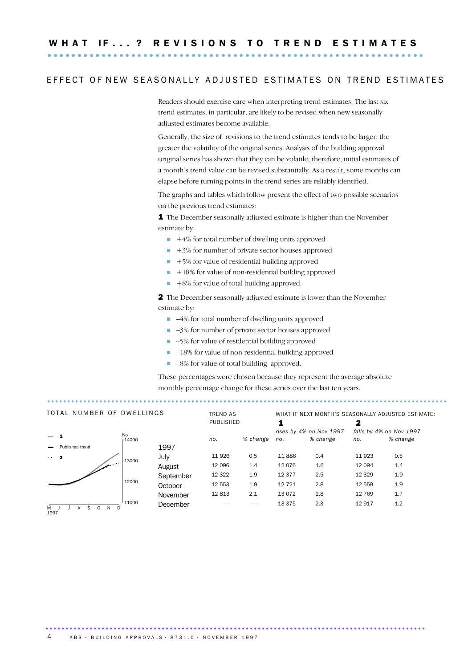### EFFECT OF NEW SEASONALLY ADJUSTED ESTIMATES ON TREND ESTIMATES

Readers should exercise care when interpreting trend estimates. The last six trend estimates, in particular, are likely to be revised when new seasonally adjusted estimates become available.

Generally, the size of revisions to the trend estimates tends to be larger, the greater the volatility of the original series. Analysis of the building approval original series has shown that they can be volatile; therefore, initial estimates of a month's trend value can be revised substantially. As a result, some months can elapse before turning points in the trend series are reliably identified.

The graphs and tables which follow present the effect of two possible scenarios on the previous trend estimates:

1 The December seasonally adjusted estimate is higher than the November estimate by:

- $\blacksquare$  +4% for total number of dwelling units approved
- $\blacksquare$  +3% for number of private sector houses approved
- $\blacksquare$  +5% for value of residential building approved
- $+18\%$  for value of non-residential building approved
- $+8\%$  for value of total building approved.

2 The December seasonally adjusted estimate is lower than the November estimate by:

- $\blacksquare$  -4% for total number of dwelling units approved
- $\Box$  -3% for number of private sector houses approved
- -5% for value of residential building approved
- $\blacksquare$  -18% for value of non-residential building approved
- $\blacksquare$  -8% for value of total building approved.

These percentages were chosen because they represent the average absolute monthly percentage change for these series over the last ten years.

| TOTAL NUMBER OF DWELLINGS |                  |          | TREND AS<br>PUBLISHED |         | WHAT IF NEXT MONTH'S SEASONALLY ADJUSTED ESTIMATE:<br>2 |         |                         |                         |          |
|---------------------------|------------------|----------|-----------------------|---------|---------------------------------------------------------|---------|-------------------------|-------------------------|----------|
|                           |                  | No       |                       |         |                                                         |         | rises by 4% on Nov 1997 | falls by 4% on Nov 1997 |          |
|                           |                  | r 14000  |                       | no.     | % change                                                | no.     | % change                | no.                     | % change |
|                           | Published trend  |          | 1997                  |         |                                                         |         |                         |                         |          |
| $\sim$ 2                  |                  | 13000    | July                  | 11 9 26 | 0.5                                                     | 11886   | 0.4                     | 11 923                  | 0.5      |
|                           | المحتمل والمتحدث |          | August                | 12 096  | 1.4                                                     | 12 0 76 | 1.6                     | 12 094                  | 1.4      |
|                           |                  |          | September             | 12 3 22 | 1.9                                                     | 12 377  | 2.5                     | 12 3 29                 | 1.9      |
|                           |                  | 12000    | October               | 12 553  | 1.9                                                     | 12 7 21 | 2.8                     | 12 559                  | 1.9      |
|                           |                  |          | November              | 12813   | 2.1                                                     | 13 0 72 | 2.8                     | 12 769                  | 1.7      |
| M<br>1997                 | N                | $-11000$ | December              |         |                                                         | 13 3 75 | 2.3                     | 12917                   | 1.2      |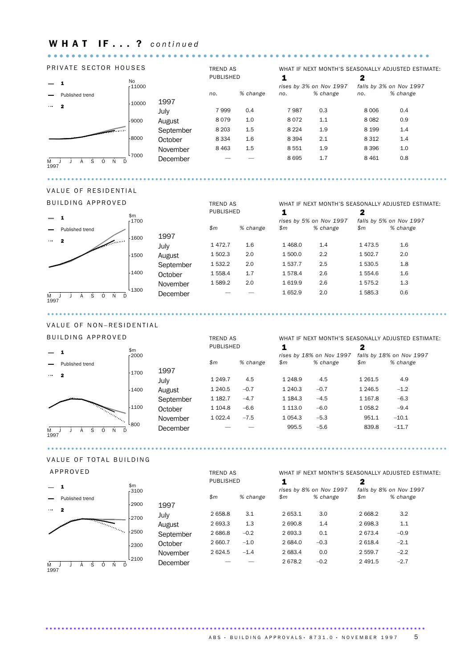## WHAT IF...? continued

#### PRIVATE SECTOR HOUSES

 $\sim$   $\sim$ 



## VALUE OF RESIDENTIAL

**BULLDING APPROVED** 

| WHAT IF NEXT MONTH'S SEASONALLY ADJUSTED ESTIMATE: |  |  |  |
|----------------------------------------------------|--|--|--|
|                                                    |  |  |  |
| falls by 5% on Nov 1997                            |  |  |  |
| % change                                           |  |  |  |
|                                                    |  |  |  |
| 1.6                                                |  |  |  |
| 2.0                                                |  |  |  |
| 1.8                                                |  |  |  |
| 1.6                                                |  |  |  |
| 1.3                                                |  |  |  |
| 0.6                                                |  |  |  |
|                                                    |  |  |  |

. . . . . . . . . . .

#### VALUE OF NON-RESIDENTIAL

| BUILDING APPROVED |                                                                                                               |                                  | <b>TREND AS</b> |           | WHAT IF NEXT MONTH'S SEASONALLY ADJUSTED ESTIMATE: |             |                          |            |                          |
|-------------------|---------------------------------------------------------------------------------------------------------------|----------------------------------|-----------------|-----------|----------------------------------------------------|-------------|--------------------------|------------|--------------------------|
|                   |                                                                                                               | \$m\$                            |                 | PUBLISHED |                                                    |             |                          | 2          |                          |
|                   |                                                                                                               | 2000                             |                 |           |                                                    |             | rises by 18% on Nov 1997 |            | falls by 18% on Nov 1997 |
|                   | Published trend                                                                                               |                                  |                 | \$m\$     | % change                                           | \$m\$       | % change                 | \$m\$      | % change                 |
| $\cdots$ 2        |                                                                                                               | 1700                             | 1997            |           |                                                    |             |                          |            |                          |
|                   |                                                                                                               |                                  | July            | 1 2 4 9.7 | 4.5                                                | 1 2 4 8.9   | 4.5                      | 1 2 6 1.5  | 4.9                      |
|                   |                                                                                                               | $-1400$                          | August          | 1 240.5   | $-0.7$                                             | 1 240.3     | $-0.7$                   | 1 2 4 6.5  | $-1.2$                   |
|                   |                                                                                                               |                                  | September       | 1 1 8 2.7 | $-4.7$                                             | 1 1 8 4 . 3 | $-4.5$                   | 1 1 6 7 .8 | $-6.3$                   |
|                   |                                                                                                               | 1100                             | October         | 1 104.8   | $-6.6$                                             | 1 1 1 3 . 0 | $-6.0$                   | 1 0 58.2   | $-9.4$                   |
|                   | e Santa Cardinaldo (Cardinaldo Cardinaldo e Cardinaldo Cardinaldo Cardinaldo Cardinaldo Cardinaldo Cardinaldo |                                  | November        | 1 0 2 2.4 | $-7.5$                                             | 1 0 5 4 . 3 | $-5.3$                   | 951.1      | $-10.1$                  |
| M<br>1997         | S                                                                                                             | <sup>L</sup> 800<br><sup>D</sup> | December        |           |                                                    | 995.5       | $-5.6$                   | 839.8      | $-11.7$                  |

#### VALUE OF TOTAL BUILDING

. . . . . . . . . . . . . . . . . . .

. . . . . . . . . . . . .

and the state of the state of

| APPROVED                                     |                 |           | <b>TREND AS</b> |          | WHAT IF NEXT MONTH'S SEASONALLY ADJUSTED ESTIMATE: |                         |           |                         |  |
|----------------------------------------------|-----------------|-----------|-----------------|----------|----------------------------------------------------|-------------------------|-----------|-------------------------|--|
|                                              |                 |           | PUBLISHED       |          |                                                    |                         | 2         |                         |  |
|                                              | \$m\$<br>r 3100 |           |                 |          |                                                    | rises by 8% on Nov 1997 |           | falls by 8% on Nov 1997 |  |
| Published trend                              |                 |           | \$m             | % change | \$m\$                                              | % change                | \$m\$     | % change                |  |
| $\mathbf{2}$<br>$\sim 0.001$                 | $-2900$         | 1997      |                 |          |                                                    |                         |           |                         |  |
|                                              | $-2700$         | July      | 2 658.8         | 3.1      | 2 653.1                                            | 3.0                     | 2 6 6 8.2 | 3.2                     |  |
| <i><b><i>Proprietary Proprietary</i></b></i> |                 | August    | 2 693.3         | 1.3      | 2 690.8                                            | 1.4                     | 2698.3    | 1.1                     |  |
|                                              | $-2500$         | September | 2686.8          | $-0.2$   | 2 693.3                                            | 0.1                     | 2 673.4   | $-0.9$                  |  |
|                                              | 2300            | October   | 2 660.7         | $-1.0$   | 2 684.0                                            | $-0.3$                  | 2 618.4   | $-2.1$                  |  |
|                                              |                 | November  | 2624.5          | $-1.4$   | 2 683.4                                            | 0.0                     | 2 559.7   | $-2.2$                  |  |
| 1997                                         | 12100           | December  |                 |          | 2678.2                                             | $-0.2$                  | 2 4 9 1.5 | $-2.7$                  |  |

#### ABS · BUILDING APPROVALS · 8731.0 · NOVEMBER 1997  $\overline{5}$

. . . . . . . . . . . . . . . . . .

 $\mathbf{A}$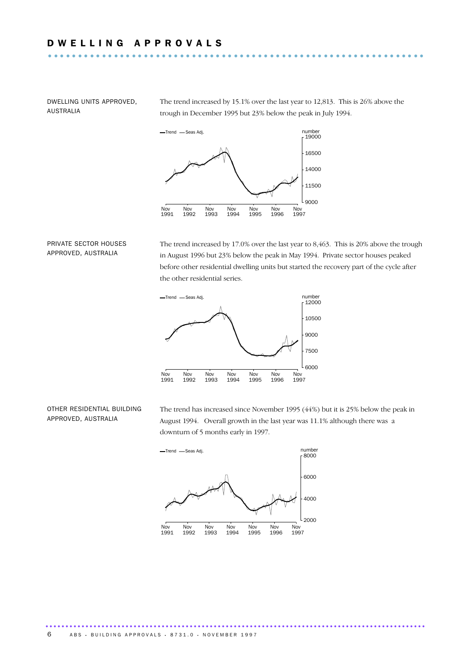DWELLING UNITS APPROVED, AUSTRALIA

The trend increased by 15.1% over the last year to 12,813. This is 26% above the trough in December 1995 but 23% below the peak in July 1994.



PRIVATE SECTOR HOUSES APPROVED, AUSTRALIA

The trend increased by  $17.0\%$  over the last year to  $8,463$ . This is  $20\%$  above the trough in August 1996 but 23% below the peak in May 1994. Private sector houses peaked before other residential dwelling units but started the recovery part of the cycle after the other residential series.



#### OTHER RESIDENTIAL BUILDING APPROVED, AUSTRALIA

The trend has increased since November 1995 (44%) but it is 25% below the peak in August 1994. Overall growth in the last year was 11.1% although there was a downturn of 5 months early in 1997.



...............................................................................................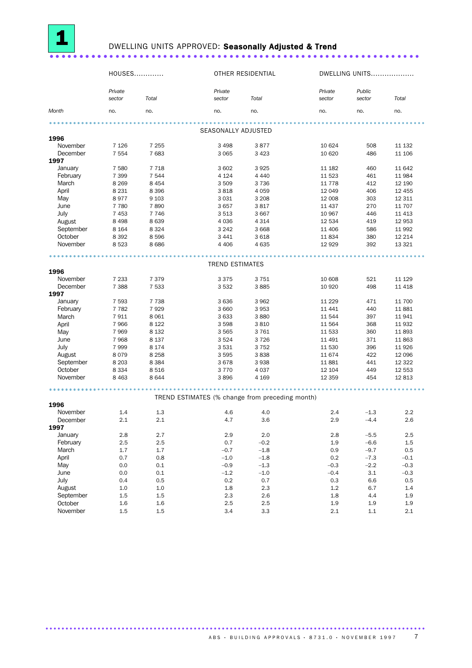

## DWELLING UNITS APPROVED: Seasonally Adjusted & Trend

|                  | HOUSES            |         |                        | OTHER RESIDENTIAL                               | DWELLING UNITS    |                  |          |
|------------------|-------------------|---------|------------------------|-------------------------------------------------|-------------------|------------------|----------|
|                  | Private<br>sector | Total   | Private<br>sector      | Total                                           | Private<br>sector | Public<br>sector | Total    |
| Month            | no.               | no.     | no.                    | no.                                             | no.               | no.              | no.      |
|                  |                   |         |                        |                                                 |                   |                  |          |
|                  |                   |         | SEASONALLY ADJUSTED    |                                                 |                   |                  |          |
| 1996<br>November | 7 1 2 6           | 7 2 5 5 | 3 4 9 8                | 3877                                            | 10 624            | 508              | 11 132   |
| December         | 7 5 5 4           | 7683    | 3 0 6 5                | 3 4 2 3                                         | 10 6 20           | 486              | 11 106   |
| 1997             |                   |         |                        |                                                 |                   |                  |          |
| January          | 7 5 8 0           | 7 7 1 8 | 3 602                  | 3925                                            | 11 182            | 460              | 11 642   |
| February         | 7 3 9 9           | 7 5 4 4 | 4 1 2 4                | 4 4 4 0                                         | 11 523            | 461              | 11 984   |
| March            | 8 2 6 9           | 8 4 5 4 | 3509                   | 3 7 3 6                                         | 11 7 7 8          | 412              | 12 190   |
| April            | 8 2 3 1           | 8 3 9 6 | 3818                   | 4 0 5 9                                         | 12 049            | 406              | 12 4 5 5 |
| May              | 8977              | 9 1 0 3 | 3 0 3 1                | 3 2 0 8                                         | 12 008            | 303              | 12 311   |
| June             | 7 7 8 0           | 7890    | 3657                   | 3817                                            | 11 437            | 270              | 11 707   |
| July             | 7 4 5 3           | 7746    | 3513                   | 3 6 6 7                                         | 10 967            | 446              | 11 4 13  |
| August           | 8 4 9 8           | 8 6 3 9 | 4 0 3 6                | 4 3 1 4                                         | 12 534            | 419              | 12 9 53  |
| September        | 8 1 6 4           | 8 3 2 4 | 3 2 4 2                | 3 6 6 8                                         | 11 406            | 586              | 11 992   |
| October          | 8 3 9 2           | 8596    | 3 4 4 1                | 3 6 18                                          | 11834             | 380              | 12 2 14  |
| November         | 8523              | 8686    | 4 4 0 6                | 4 6 3 5                                         | 12 9 29           | 392              | 13 3 2 1 |
|                  |                   |         |                        |                                                 |                   |                  |          |
| 1996             |                   |         | <b>TREND ESTIMATES</b> |                                                 |                   |                  |          |
| November         | 7 2 3 3           | 7 3 7 9 | 3375                   | 3751                                            | 10 608            | 521              | 11 1 29  |
| December         | 7 3 8 8           | 7 5 3 3 | 3532                   | 3885                                            | 10 9 20           | 498              | 11 4 18  |
| 1997             |                   |         |                        |                                                 |                   |                  |          |
| January          | 7 5 9 3           | 7738    | 3636                   | 3 9 6 2                                         | 11 2 2 9          | 471              | 11 700   |
| February         | 7782              | 7929    | 3 6 6 0                | 3 9 5 3                                         | 11 441            | 440              | 11881    |
| March            | 7911              | 8 0 6 1 | 3633                   | 3880                                            | 11 544            | 397              | 11941    |
| April            | 7966              | 8 1 2 2 | 3598                   | 3810                                            | 11 564            | 368              | 11 932   |
| May              | 7969              | 8 1 3 2 | 3565                   | 3761                                            | 11 533            | 360              | 11893    |
| June             | 7968              | 8 1 3 7 | 3524                   | 3726                                            | 11 491            | 371              | 11863    |
| July             | 7999              | 8 1 7 4 | 3531                   | 3752                                            | 11 530            | 396              | 11 9 26  |
| August           | 8079              | 8 2 5 8 | 3595                   | 3838                                            | 11 674            | 422              | 12 096   |
| September        | 8 2 0 3           | 8 3 8 4 | 3678                   | 3938                                            | 11881             | 441              | 12 3 22  |
| October          | 8 3 3 4           | 8516    | 3770                   | 4 0 3 7                                         | 12 104            | 449              | 12 5 53  |
| November         | 8 4 6 3           | 8644    | 3896                   | 4 1 6 9                                         | 12 3 5 9          | 454              | 12813    |
|                  |                   |         |                        | .                                               |                   |                  |          |
| 1996             |                   |         |                        | TREND ESTIMATES (% change from preceding month) |                   |                  |          |
| November         | 1.4               | 1.3     | 4.6                    | 4.0                                             | 2.4               | $-1.3$           | 2.2      |
| December         | 2.1               | 2.1     | 4.7                    | 3.6                                             | 2.9               | $-4.4$           | 2.6      |
| 1997             |                   |         |                        |                                                 |                   |                  |          |
| January          | 2.8               | 2.7     | 2.9                    | 2.0                                             | 2.8               | $-5.5$           | 2.5      |
| February         | $2.5\,$           | 2.5     | 0.7                    | $-0.2$                                          | 1.9               | $-6.6$           | $1.5\,$  |
| March            | 1.7               | 1.7     | $-0.7$                 | $-1.8$                                          | 0.9               | $-9.7$           | 0.5      |
| April            | 0.7               | 0.8     | $-1.0$                 | $-1.8$                                          | 0.2               | $-7.3$           | $-0.1$   |
| May              | 0.0               | 0.1     | $-0.9$                 | $-1.3$                                          | $-0.3$            | $-2.2$           | $-0.3$   |
| June             | 0.0               | 0.1     | $-1.2$                 | $-1.0$                                          | $-0.4$            | 3.1              | $-0.3$   |
| July             | 0.4               | 0.5     | 0.2                    | 0.7                                             | 0.3               | 6.6              | 0.5      |
| August           | 1.0               | 1.0     | 1.8                    | 2.3                                             | 1.2               | 6.7              | 1.4      |
| September        | 1.5               | 1.5     | 2.3                    | 2.6                                             | 1.8               | 4.4              | 1.9      |
| October          | 1.6               | 1.6     | 2.5                    | 2.5                                             | 1.9               | $1.9\,$          | 1.9      |
| November         | 1.5               | $1.5\,$ | 3.4                    | 3.3                                             | 2.1               | $1.1\,$          | 2.1      |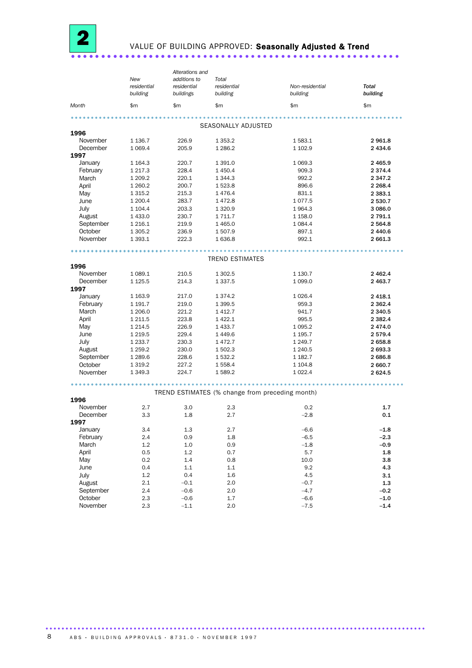

## VALUE OF BUILDING APPROVED: Seasonally Adjusted & Trend

| Alterations and<br>additions to<br>Total<br>New                                                               |                          |
|---------------------------------------------------------------------------------------------------------------|--------------------------|
| residential<br>residential<br>residential<br>Non-residential<br>building<br>buildings<br>building<br>building | <b>Total</b><br>building |
| \$m<br>\$m<br>\$m<br>\$m<br>Month                                                                             | \$m                      |
| SEASONALLY ADJUSTED                                                                                           |                          |
| 1996                                                                                                          |                          |
| November<br>1 1 36.7<br>226.9<br>1 3 5 3.2<br>1583.1                                                          | 2961.8                   |
| December<br>1 0 69.4<br>205.9<br>1 2 8 6.2<br>1 102.9                                                         | 2 4 3 4 .6               |
| 1997                                                                                                          |                          |
| January<br>1 1 64.3<br>220.7<br>1 391.0<br>1 0 6 9.3                                                          | 2 4 6 5.9                |
| 228.4<br>February<br>1 217.3<br>1 450.4<br>909.3                                                              | 2 3 7 4 . 4              |
| March<br>1 209.2<br>220.1<br>1 344.3<br>992.2                                                                 | 2 3 4 7 . 2              |
| April<br>200.7<br>1523.8<br>896.6<br>1 260.2                                                                  | 2 2 68.4                 |
| 831.1<br>May<br>1 3 1 5 . 2<br>215.3<br>1476.4                                                                | 2 3 8 3 . 1              |
| June<br>1077.5<br>1 200.4<br>283.7<br>1472.8                                                                  | 2 530.7                  |
| July<br>203.3<br>1 104.4<br>1 3 2 0.9<br>1964.3                                                               | 3 086.0                  |
| August<br>1 433.0<br>230.7<br>1 711.7<br>1 1 58.0                                                             | 2 791.1                  |
| September<br>219.9<br>1 4 6 5.0<br>1084.4<br>1 2 1 6 . 1                                                      | 2 5 6 4.8                |
| October<br>1507.9<br>897.1<br>1 305.2<br>236.9                                                                | 2 440.6                  |
| November<br>1636.8<br>992.1<br>1 3 9 3.1<br>222.3                                                             | 2 661.3                  |
| <b>TREND ESTIMATES</b>                                                                                        |                          |
| 1996                                                                                                          |                          |
| November<br>1 0 8 9.1<br>210.5<br>1 302.5<br>1 1 3 0 . 7                                                      | 2 4 6 2.4                |
| December<br>1 1 2 5 .5<br>214.3<br>1 3 3 7 .5<br>1 0 9 9.0                                                    | 2 4 6 3.7                |
| 1997                                                                                                          |                          |
| January<br>1 1 6 3 . 9<br>217.0<br>1 374.2<br>1 0 26.4                                                        | 2 4 18.1                 |
| February<br>1 191.7<br>219.0<br>1 399.5<br>959.3                                                              | 2 3 6 2.4                |
| March<br>1 206.0<br>221.2<br>1 4 1 2.7<br>941.7                                                               | 2 3 4 0.5                |
| April<br>223.8<br>1 4 2 2.1<br>1 211.5<br>995.5                                                               | 2 3 8 2.4                |
| May<br>1 4 3 3.7<br>1 2 1 4 .5<br>226.9<br>1 0 9 5.2                                                          | 2474.0                   |
| June<br>229.4<br>1 2 1 9 .5<br>1449.6<br>1 1 9 5.7                                                            | 2 5 7 9 . 4              |
| July<br>1 2 3 3.7<br>230.3<br>1472.7<br>1 2 4 9.7                                                             | 2658.8                   |
| August<br>1 259.2<br>230.0<br>1 502.3<br>1 240.5                                                              | 2 693.3                  |
| September<br>1 289.6<br>228.6<br>1 532.2<br>1 1 8 2.7                                                         | 2686.8                   |
| October<br>1558.4<br>1 3 1 9 . 2<br>227.2<br>1 104.8                                                          | 2 660.7                  |
| November<br>1589.2<br>1 349.3<br>224.7<br>1 0 2 2.4                                                           | 2624.5                   |
|                                                                                                               |                          |
| TREND ESTIMATES (% change from preceding month)<br>1996                                                       |                          |
| November<br>2.7<br>3.0<br>2.3<br>0.2                                                                          | 1.7                      |
| December<br>3.3<br>1.8<br>$-2.8$<br>2.7                                                                       | 0.1                      |
| 1997                                                                                                          |                          |
| January<br>3.4<br>1.3<br>2.7<br>$-6.6$                                                                        | $-1.8$                   |
| February<br>0.9<br>$1.8\,$<br>2.4<br>$-6.5$                                                                   | $-2.3$                   |
| March<br>$1.2\,$<br>1.0<br>0.9<br>$-1.8$                                                                      | $-0.9$                   |
| April<br>0.5<br>1.2<br>0.7<br>5.7                                                                             | 1.8                      |
| 1.4<br>May<br>0.2<br>0.8<br>10.0                                                                              | 3.8                      |
| 0.4<br>$1.1\,$<br>$1.1\,$<br>9.2<br>June                                                                      | 4.3                      |
| July<br>$1.2\,$<br>0.4<br>$1.6\,$<br>4.5                                                                      | 3.1                      |
| August<br>2.1<br>$-0.1$<br>2.0<br>$-0.7$                                                                      | 1.3                      |
| September<br>2.4<br>$-0.6$<br>2.0<br>$-4.7$                                                                   | $-0.2$                   |
| October<br>2.3<br>$-0.6$<br>1.7<br>$-6.6$                                                                     | $-1.0$                   |
| November<br>2.3<br>$-1.1$<br>2.0<br>$-7.5$                                                                    | $-1.4$                   |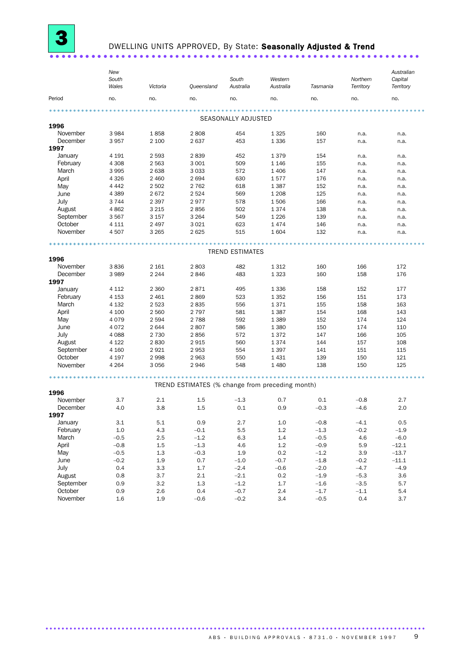

### DWELLING UNITS APPROVED, By State: Seasonally Adjusted & Trend

|           | New<br>South<br>Wales | Victoria | Queensland                                      | South<br>Australia     | Western<br>Australia | Tasmania | Northern<br>Territory | Australian<br>Capital<br>Territory |
|-----------|-----------------------|----------|-------------------------------------------------|------------------------|----------------------|----------|-----------------------|------------------------------------|
| Period    | no.                   | no.      | no.                                             | no.                    | no.                  | no.      | no.                   | no.                                |
|           |                       |          |                                                 |                        |                      |          |                       |                                    |
|           |                       |          |                                                 | SEASONALLY ADJUSTED    |                      |          |                       |                                    |
| 1996      |                       |          |                                                 |                        |                      |          |                       |                                    |
| November  | 3984                  | 1858     | 2808                                            | 454                    | 1 3 2 5              | 160      | n.a.                  | n.a.                               |
| December  | 3957                  | 2 100    | 2637                                            | 453                    | 1 3 3 6              | 157      | n.a.                  | n.a.                               |
| 1997      |                       |          |                                                 |                        |                      |          |                       |                                    |
| January   | 4 1 9 1               | 2 5 9 3  | 2839                                            | 452                    | 1379                 | 154      | n.a.                  | n.a.                               |
| February  | 4 3 0 8               | 2 5 6 3  | 3 0 0 1                                         | 509                    | 1 1 4 6              | 155      | n.a.                  | n.a.                               |
| March     | 3995                  | 2638     | 3 0 3 3                                         | 572                    | 1 4 0 6              | 147      | n.a.                  | n.a.                               |
| April     | 4 3 2 6               | 2 4 6 0  | 2694                                            | 630                    | 1577                 | 176      | n.a.                  | n.a.                               |
| May       | 4 4 4 2               | 2 5 0 2  | 2 7 6 2                                         | 618                    | 1387                 | 152      | n.a.                  | n.a.                               |
| June      | 4 3 8 9               | 2672     | 2 5 2 4                                         | 569                    | 1 2 0 8              | 125      | n.a.                  | n.a.                               |
| July      | 3744                  | 2 3 9 7  | 2977                                            | 578                    | 1506                 | 166      | n.a.                  | n.a.                               |
| August    | 4862                  | 3 2 1 5  | 2856                                            | 502                    | 1374                 | 138      | n.a.                  | n.a.                               |
| September | 3567                  | 3 157    | 3 2 6 4                                         | 549                    | 1 2 2 6              | 139      | n.a.                  | n.a.                               |
| October   | 4 1 1 1               | 2 4 9 7  | 3 0 2 1                                         | 623                    | 1474                 | 146      | n.a.                  | n.a.                               |
| November  | 4507                  | 3 2 6 5  | 2 6 2 5                                         | 515                    | 1604                 | 132      | n.a.                  | n.a.                               |
|           |                       |          |                                                 |                        |                      |          |                       |                                    |
|           |                       |          |                                                 | <b>TREND ESTIMATES</b> |                      |          |                       |                                    |
| 1996      |                       |          |                                                 |                        |                      |          |                       |                                    |
| November  | 3836                  | 2 1 6 1  | 2803                                            | 482                    | 1 3 1 2              | 160      | 166                   | 172                                |
| December  | 3989                  | 2 2 4 4  | 2846                                            | 483                    | 1 3 2 3              | 160      | 158                   | 176                                |
| 1997      |                       |          |                                                 |                        |                      |          |                       |                                    |
| January   | 4 1 1 2               | 2 3 6 0  | 2871                                            | 495                    | 1 3 3 6              | 158      | 152                   | 177                                |
| February  | 4 1 5 3               | 2 4 6 1  | 2869                                            | 523                    | 1 3 5 2              | 156      | 151                   | 173                                |
| March     | 4 1 3 2               | 2 5 23   | 2835                                            | 556                    | 1371                 | 155      | 158                   | 163                                |
| April     | 4 100                 | 2 5 6 0  | 2 7 9 7                                         | 581                    | 1 3 8 7              | 154      | 168                   | 143                                |
| May       | 4079                  | 2 5 9 4  | 2 7 8 8                                         | 592                    | 1 3 8 9              | 152      | 174                   | 124                                |
| June      | 4072                  | 2 644    | 2807                                            | 586                    | 1 3 8 0              | 150      | 174                   | 110                                |
| July      | 4 0 8 8               | 2 7 3 0  | 2856                                            | 572                    | 1372                 | 147      | 166                   | 105                                |
| August    | 4 1 2 2               | 2830     | 2915                                            | 560                    | 1 3 7 4              | 144      | 157                   | 108                                |
| September | 4 1 6 0               | 2921     | 2953                                            | 554                    | 1 3 9 7              | 141      | 151                   | 115                                |
| October   | 4 1 9 7               | 2998     | 2 9 6 3                                         | 550                    | 1 4 3 1              | 139      | 150                   | 121                                |
| November  | 4 2 6 4               | 3056     | 2946                                            | 548                    | 1 4 8 0              | 138      | 150                   | 125                                |
|           |                       |          |                                                 |                        |                      |          |                       |                                    |
|           |                       |          | TREND ESTIMATES (% change from preceding month) |                        |                      |          |                       |                                    |
| 1996      |                       |          |                                                 |                        |                      |          |                       |                                    |
| November  | 3.7                   | 2.1      | 1.5                                             | $-1.3$                 | 0.7                  | 0.1      | $-0.8$                | 2.7                                |
| December  | 4.0                   | 3.8      | 1.5                                             | 0.1                    | 0.9                  | $-0.3$   | $-4.6$                | 2.0                                |
| 1997      |                       |          |                                                 |                        |                      |          |                       |                                    |
| January   | $3.1\,$               | $5.1\,$  | 0.9                                             | 2.7                    | $1.0\,$              | $-0.8$   | $-4.1$                | 0.5                                |
| February  | $1.0\,$               | $4.3\,$  | $-0.1$                                          | 5.5                    | $1.2\,$              | $-1.3$   | $-0.2$                | $-1.9$                             |
| March     | $-0.5$                | 2.5      | $-1.2$                                          | 6.3                    | $1.4\,$              | $-0.5$   | 4.6                   | $-6.0$                             |
| April     | $-0.8$                | $1.5\,$  | $-1.3$                                          | 4.6                    | $1.2\,$              | $-0.9$   | 5.9                   | $-12.1$                            |
| May       | $-0.5$                | 1.3      | $-0.3$                                          | 1.9                    | $0.2\,$              | $-1.2$   | 3.9                   | $-13.7$                            |
| June      | $-0.2$                | 1.9      | 0.7                                             | $-1.0$                 | $-0.7$               | $-1.8$   | $-0.2$                | $-11.1$                            |
| July      | 0.4                   | 3.3      | $1.7\,$                                         | $-2.4$                 | $-0.6$               | $-2.0$   | $-4.7$                | $-4.9$                             |
| August    | 0.8                   | 3.7      | $2.1\,$                                         | $-2.1$                 | 0.2                  | $-1.9$   | $-5.3$                | 3.6                                |
| September | 0.9                   | 3.2      | $1.3\,$                                         | $-1.2$                 | 1.7                  | $-1.6$   | $-3.5$                | 5.7                                |
| October   | 0.9                   | 2.6      | $0.4\,$                                         | $-0.7$                 | 2.4                  | $-1.7$   | $-1.1$                | $5.4\,$                            |
| November  | 1.6                   | 1.9      | $-0.6$                                          | $-0.2$                 | 3.4                  | $-0.5$   | 0.4                   | 3.7                                |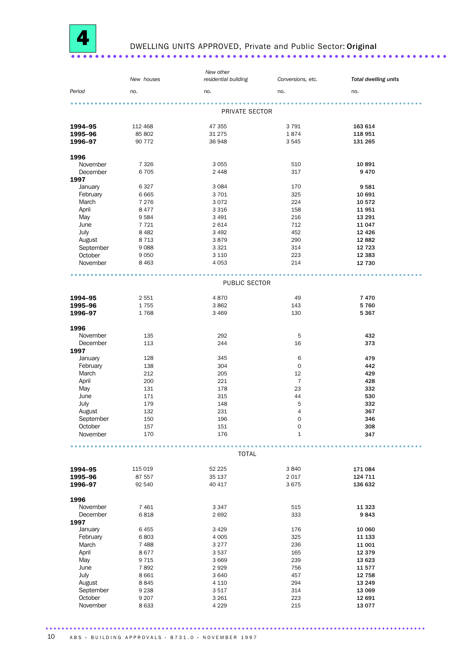

#### DWELLING UNITS APPROVED, Private and Public Sector: Original . . . . . . . . . . . .

|           |            | New other            |                   |                             |
|-----------|------------|----------------------|-------------------|-----------------------------|
|           | New houses | residential building | Conversions, etc. | <b>Total dwelling units</b> |
|           |            |                      |                   |                             |
| Period    | no.        | no.                  | no.               | no.                         |
|           |            |                      |                   |                             |
|           |            | PRIVATE SECTOR       |                   |                             |
|           |            |                      |                   |                             |
| 1994-95   | 112 468    | 47 355               | 3791              | 163 614                     |
|           | 85 802     | 31 275               | 1874              | 118 951                     |
| 1995-96   |            |                      |                   |                             |
| 1996-97   | 90 772     | 36 948               | 3545              | 131 265                     |
|           |            |                      |                   |                             |
| 1996      |            |                      |                   |                             |
| November  | 7 3 2 6    | 3 0 5 5              | 510               | 10891                       |
| December  | 6705       | 2 4 4 8              | 317               | 9470                        |
| 1997      |            |                      |                   |                             |
| January   | 6 3 2 7    | 3 0 8 4              | 170               | 9581                        |
| February  | 6 6 6 5    | 3 7 0 1              | 325               | 10 691                      |
| March     | 7 2 7 6    | 3072                 | 224               | 10 572                      |
| April     | 8477       | 3 3 1 6              | 158               | 11951                       |
| May       | 9584       | 3 4 9 1              | 216               | 13 291                      |
| June      | 7721       | 2 6 1 4              | 712               | 11 047                      |
| July      | 8 4 8 2    | 3 4 9 2              | 452               | 12 4 26                     |
| August    | 8 7 1 3    | 3879                 | 290               | 12 882                      |
| September | 9088       | 3 3 2 1              | 314               | 12 7 23                     |
|           |            |                      |                   |                             |
| October   | 9050       | 3 1 1 0              | 223               | 12 3 8 3                    |
| November  | 8 4 6 3    | 4 0 5 3              | 214               | 12 730                      |
|           |            |                      |                   |                             |
|           |            |                      |                   |                             |
|           |            | PUBLIC SECTOR        |                   |                             |
|           |            |                      |                   |                             |
| 1994-95   | 2 5 5 1    | 4870                 | 49                | 7470                        |
| 1995-96   | 1755       | 3862                 | 143               | 5760                        |
| 1996-97   | 1768       | 3 4 6 9              | 130               | 5 3 6 7                     |
|           |            |                      |                   |                             |
| 1996      |            |                      |                   |                             |
| November  | 135        | 292                  | 5                 | 432                         |
| December  | 113        | 244                  | 16                | 373                         |
| 1997      |            |                      |                   |                             |
| January   | 128        | 345                  | 6                 | 479                         |
| February  | 138        | 304                  | $\mathbf 0$       | 442                         |
| March     | 212        | 205                  | 12                | 429                         |
| April     | 200        | 221                  | $\overline{7}$    | 428                         |
|           |            |                      | 23                | 332                         |
| May       | 131        | 178                  |                   |                             |
| June      | 171        | 315                  | 44                | 530                         |
| July      | 179        | 148                  | 5                 | 332                         |
| August    | 132        | 231                  | 4                 | 367                         |
| September | 150        | 196                  | 0                 | 346                         |
| October   | 157        | 151                  | 0                 | 308                         |
| November  | 170        | 176                  | $\mathbf 1$       | 347                         |
|           |            |                      |                   |                             |
|           |            |                      |                   |                             |
|           |            | <b>TOTAL</b>         |                   |                             |
|           |            |                      |                   |                             |
| 1994-95   | 115 019    | 52 225               | 3840              | 171 084                     |
| 1995-96   | 87 557     | 35 137               | 2017              | 124 711                     |
| 1996-97   | 92 540     | 40 417               | 3675              | 136 632                     |
|           |            |                      |                   |                             |
| 1996      |            |                      |                   |                             |
| November  | 7 4 6 1    | 3 3 4 7              | 515               | 11 3 23                     |
| December  | 6818       | 2692                 | 333               | 9843                        |
| 1997      |            |                      |                   |                             |
| January   | 6455       | 3 4 2 9              | 176               | 10 060                      |
| February  | 6803       | 4 0 0 5              | 325               | 11 133                      |
| March     | 7488       | 3 2 7 7              | 236               | 11 001                      |
| April     | 8677       | 3537                 | 165               | 12 379                      |
|           |            |                      |                   |                             |
| May       | 9715       | 3 6 6 9              | 239               | 13 623                      |
| June      | 7892       | 2929                 | 756               | 11 577                      |
| July      | 8 6 6 1    | 3 6 4 0              | 457               | 12 758                      |
| August    | 8845       | 4 1 1 0              | 294               | 13 249                      |
| September | 9 2 3 8    | 3517                 | 314               | 13 069                      |
| October   | 9 2 0 7    | 3 2 6 1              | 223               | 12 691                      |
| November  | 8 6 3 3    | 4 2 2 9              | 215               | 13 0 77                     |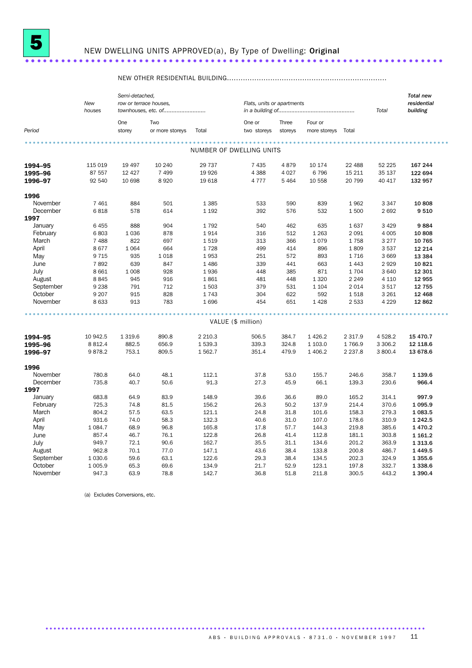

## NEW DWELLING UNITS APPROVED(a), By Type of Dwelling: Original

#### 

|           |             | Semi-detached,         |                 |           |                            |         |              |                      |           | <b>Total new</b> |  |
|-----------|-------------|------------------------|-----------------|-----------|----------------------------|---------|--------------|----------------------|-----------|------------------|--|
|           | New         | row or terrace houses, |                 |           | Flats, units or apartments |         |              |                      |           | residential      |  |
|           | houses      | townhouses, etc. of    |                 |           |                            |         |              |                      | Total     | building         |  |
|           |             | One                    | Two             |           | One or                     | Three   | Four or      |                      |           |                  |  |
| Period    |             | storey                 | or more storeys | Total     | two storeys                | storeys | more storeys | Total                |           |                  |  |
|           |             |                        |                 |           |                            |         |              |                      |           |                  |  |
|           |             |                        |                 |           | NUMBER OF DWELLING UNITS   |         |              |                      |           |                  |  |
| 1994-95   | 115 019     | 19 4 97                | 10 240          | 29 737    | 7 4 3 5                    | 4879    | 10 174       | 22 488               | 52 225    | 167 244          |  |
| 1995-96   | 87 557      | 12 4 27                | 7 4 9 9         | 19 9 26   | 4 3 8 8                    | 4 0 27  | 6796         | 15 211               | 35 137    | 122 694          |  |
| 1996-97   | 92 540      | 10 698                 | 8920            | 19 618    | 4 7 7 7                    | 5 4 6 4 | 10 558       | 20 799               | 40 417    | 132 957          |  |
| 1996      |             |                        |                 |           |                            |         |              |                      |           |                  |  |
| November  | 7 4 6 1     | 884                    | 501             | 1 3 8 5   | 533                        | 590     | 839          | 1962                 | 3 3 4 7   | 10 808           |  |
| December  | 6818        | 578                    | 614             | 1 1 9 2   | 392                        | 576     | 532          | 1500                 | 2692      | 9510             |  |
| 1997      |             |                        |                 |           |                            |         |              |                      |           |                  |  |
| January   | 6455        | 888                    | 904             | 1792      | 540                        | 462     | 635          | 1637                 | 3 4 2 9   | 9884             |  |
| February  | 6803        | 1 0 3 6                | 878             | 1914      | 316                        | 512     | 1 2 6 3      | 2 0 9 1              | 4 0 0 5   | 10 808           |  |
| March     | 7 4 8 8     | 822                    | 697             | 1519      | 313                        | 366     | 1079         | 1758                 | 3 2 7 7   | 10 765           |  |
| April     | 8677        | 1 0 6 4                | 664             | 1728      | 499                        | 414     | 896          | 1809                 | 3 5 3 7   | 12 2 14          |  |
| May       | 9 7 1 5     | 935                    | 1 0 18          | 1953      | 251                        | 572     | 893          | 1716                 | 3 6 6 9   | 13 3 84          |  |
| June      | 7892        | 639                    | 847             | 1 4 8 6   | 339                        | 441     | 663          | 1 4 4 3              | 2929      | 10821            |  |
| July      | 8 6 6 1     | 1 0 0 8                | 928             | 1936      | 448                        | 385     | 871          | 1704                 | 3 6 4 0   | 12 301           |  |
| August    | 8845        | 945                    | 916             | 1861      | 481                        | 448     | 1 3 2 0      | 2 2 4 9              | 4 1 1 0   | 12 955           |  |
| September | 9 2 3 8     | 791                    | 712             | 1503      | 379                        | 531     | 1 1 0 4      | 2 0 1 4              | 3517      | 12 755           |  |
| October   | 9 2 0 7     | 915                    | 828             | 1743      | 304                        | 622     | 592          | 1518                 | 3 2 6 1   | 12 4 68          |  |
| November  | 8 6 3 3     | 913                    | 783             | 1696      | 454                        | 651     | 1 4 2 8      | 2 5 3 3              | 4 2 2 9   | 12 862           |  |
|           |             |                        |                 |           |                            |         |              |                      |           |                  |  |
|           |             |                        |                 |           | VALUE (\$ million)         |         |              |                      |           |                  |  |
|           | 10 942.5    | 1 3 1 9.6              | 890.8           |           |                            | 384.7   | 1 4 2 6.2    |                      | 4 5 28.2  | 15 470.7         |  |
| 1994-95   |             |                        | 656.9           | 2 2 1 0.3 | 506.5<br>339.3             | 324.8   |              | 2 3 1 7 .9<br>1766.9 | 3 3 0 6.2 |                  |  |
| 1995-96   | 8 8 1 2.4   | 882.5                  |                 | 1539.3    |                            |         | 1 103.0      |                      |           | 12 118.6         |  |
| 1996-97   | 9878.2      | 753.1                  | 809.5           | 1 5 6 2.7 | 351.4                      | 479.9   | 1 406.2      | 2 2 3 7 . 8          | 3 800.4   | 13 678.6         |  |
| 1996      |             |                        |                 |           |                            |         |              |                      |           |                  |  |
| November  | 780.8       | 64.0                   | 48.1            | 112.1     | 37.8                       | 53.0    | 155.7        | 246.6                | 358.7     | 1 1 3 9.6        |  |
| December  | 735.8       | 40.7                   | 50.6            | 91.3      | 27.3                       | 45.9    | 66.1         | 139.3                | 230.6     | 966.4            |  |
| 1997      |             |                        |                 |           |                            |         |              |                      |           |                  |  |
| January   | 683.8       | 64.9                   | 83.9            | 148.9     | 39.6                       | 36.6    | 89.0         | 165.2                | 314.1     | 997.9            |  |
| February  | 725.3       | 74.8                   | 81.5            | 156.2     | 26.3                       | 50.2    | 137.9        | 214.4                | 370.6     | 1 0 9 5.9        |  |
| March     | 804.2       | 57.5                   | 63.5            | 121.1     | 24.8                       | 31.8    | 101.6        | 158.3                | 279.3     | 1 083.5          |  |
| April     | 931.6       | 74.0                   | 58.3            | 132.3     | 40.6                       | 31.0    | 107.0        | 178.6                | 310.9     | 1 2 4 2.5        |  |
| May       | 1 0 8 4 . 7 | 68.9                   | 96.8            | 165.8     | 17.8                       | 57.7    | 144.3        | 219.8                | 385.6     | 1 4 7 0 . 2      |  |
| June      | 857.4       | 46.7                   | 76.1            | 122.8     | 26.8                       | 41.4    | 112.8        | 181.1                | 303.8     | 1 1 6 1 .2       |  |
| July      | 949.7       | 72.1                   | 90.6            | 162.7     | 35.5                       | 31.1    | 134.6        | 201.2                | 363.9     | 1 3 1 3 .6       |  |
| August    | 962.8       | 70.1                   | 77.0            | 147.1     | 43.6                       | 38.4    | 133.8        | 200.8                | 486.7     | 1 4 4 9.5        |  |
| September | 1 0 3 0.6   | 59.6                   | 63.1            | 122.6     | 29.3                       | 38.4    | 134.5        | 202.3                | 324.9     | 1 3 5 5.6        |  |
| October   | 1 0 0 5.9   | 65.3                   | 69.6            | 134.9     | 21.7                       | 52.9    | 123.1        | 197.8                | 332.7     | 1 3 3 8.6        |  |
| November  | 947.3       | 63.9                   | 78.8            | 142.7     | 36.8                       | 51.8    | 211.8        | 300.5                | 443.2     | 1 3 9 0.4        |  |

(a) Excludes Conversions, etc.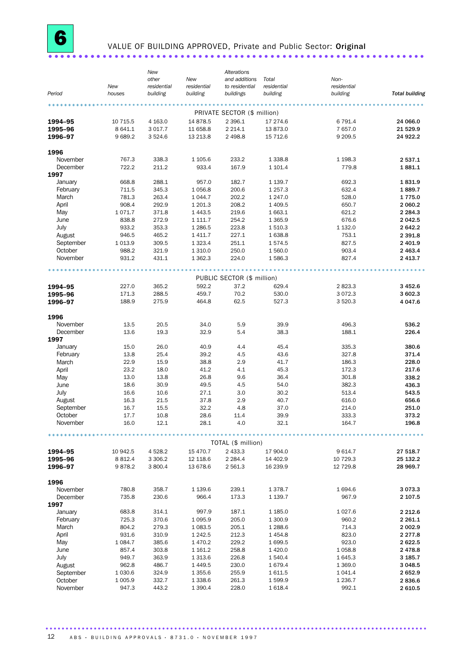### VALUE OF BUILDING APPROVED, Private and Public Sector: Original

|                    | New                  | New<br>other<br>residential | New<br>residential     | Alterations<br>and additions<br>to residential | Total<br>residential | Non-<br>residential    |                       |
|--------------------|----------------------|-----------------------------|------------------------|------------------------------------------------|----------------------|------------------------|-----------------------|
| Period             | houses               | building                    | building               | buildings                                      | building             | building               | <b>Total building</b> |
|                    |                      |                             |                        |                                                |                      |                        |                       |
|                    |                      |                             |                        | PRIVATE SECTOR (\$ million)                    |                      |                        |                       |
| 1994-95            | 10 715.5             | 4 1 6 3 . 0                 | 14 878.5               | 2 3 9 6.1                                      | 17 274.6             | 6 791.4                | 24 066.0              |
| 1995-96<br>1996-97 | 8 641.1<br>9689.2    | 3 0 1 7.7<br>3524.6         | 11 658.8<br>13 213.8   | 2 2 1 4 . 1<br>2 4 9 8.8                       | 13 873.0<br>15 712.6 | 7657.0<br>9 209.5      | 21 5 29.9<br>24 922.2 |
|                    |                      |                             |                        |                                                |                      |                        |                       |
| 1996               |                      |                             |                        |                                                |                      |                        |                       |
| November           | 767.3                | 338.3                       | 1 105.6                | 233.2                                          | 1 3 3 8.8            | 1 1 98.3               | 2 537.1               |
| December<br>1997   | 722.2                | 211.2                       | 933.4                  | 167.9                                          | 1 101.4              | 779.8                  | 1881.1                |
| January            | 668.8                | 288.1                       | 957.0                  | 182.7                                          | 1 1 3 9.7            | 692.3                  | 1831.9                |
| February           | 711.5                | 345.3                       | 1056.8                 | 200.6                                          | 1 257.3              | 632.4                  | 1889.7                |
| March              | 781.3                | 263.4                       | 1 0 4 4.7              | 202.2                                          | 1 247.0              | 528.0                  | 1775.0                |
| April              | 908.4                | 292.9                       | 1 201.3                | 208.2                                          | 1 409.5              | 650.7                  | 2 060.2               |
| May                | 1071.7               | 371.8                       | 1 4 4 3.5              | 219.6                                          | 1663.1               | 621.2                  | 2 2 8 4 . 3           |
| June               | 838.8                | 272.9                       | 1 111.7                | 254.2                                          | 1 3 6 5.9            | 676.6                  | 2 042.5               |
| July               | 933.2                | 353.3                       | 1 2 8 6.5              | 223.8                                          | 1510.3               | 1 1 3 2.0              | 2 642.2               |
| August             | 946.5                | 465.2                       | 1 4 1 1.7              | 227.1                                          | 1638.8               | 753.1                  | 2 3 9 1.8             |
| September          | 1013.9               | 309.5                       | 1 3 2 3 . 4            | 251.1                                          | 1574.5               | 827.5                  | 2 401.9               |
| October            | 988.2                | 321.9                       | 1 3 1 0.0              | 250.0                                          | 1560.0               | 903.4                  | 2 4 6 3.4             |
| November           | 931.2                | 431.1                       | 1 3 6 2.3              | 224.0                                          | 1586.3               | 827.4                  | 2 4 1 3.7             |
|                    |                      |                             |                        |                                                |                      |                        |                       |
|                    |                      |                             |                        | PUBLIC SECTOR (\$ million)                     |                      |                        |                       |
| 1994-95            | 227.0<br>171.3       | 365.2<br>288.5              | 592.2<br>459.7         | 37.2<br>70.2                                   | 629.4<br>530.0       | 2823.3                 | 3 4 5 2.6             |
| 1995-96<br>1996-97 | 188.9                | 275.9                       | 464.8                  | 62.5                                           | 527.3                | 3 0 7 2.3<br>3 5 2 0.3 | 3 602.3<br>4 047.6    |
|                    |                      |                             |                        |                                                |                      |                        |                       |
| 1996               |                      |                             |                        |                                                |                      |                        |                       |
| November           | 13.5                 | 20.5                        | 34.0                   | 5.9                                            | 39.9                 | 496.3                  | 536.2                 |
| December           | 13.6                 | 19.3                        | 32.9                   | 5.4                                            | 38.3                 | 188.1                  | 226.4                 |
| 1997               |                      |                             |                        |                                                |                      |                        |                       |
| January            | 15.0                 | 26.0                        | 40.9<br>39.2           | 4.4                                            | 45.4                 | 335.3                  | 380.6                 |
| February           | 13.8<br>22.9         | 25.4<br>15.9                | 38.8                   | 4.5<br>2.9                                     | 43.6<br>41.7         | 327.8<br>186.3         | 371.4                 |
| March<br>April     | 23.2                 | 18.0                        | 41.2                   | 4.1                                            | 45.3                 | 172.3                  | 228.0<br>217.6        |
| May                | 13.0                 | 13.8                        | 26.8                   | 9.6                                            | 36.4                 | 301.8                  | 338.2                 |
| June               | 18.6                 | 30.9                        | 49.5                   | 4.5                                            | 54.0                 | 382.3                  | 436.3                 |
| July               | 16.6                 | 10.6                        | 27.1                   | 3.0                                            | 30.2                 | 513.4                  | 543.5                 |
| August             | 16.3                 | 21.5                        | 37.8                   | 2.9                                            | 40.7                 | 616.0                  | 656.6                 |
| September          | 16.7                 | 15.5                        | 32.2                   | 4.8                                            | 37.0                 | 214.0                  | 251.0                 |
| October            | 17.7                 | 10.8                        | 28.6                   | 11.4                                           | 39.9                 | 333.3                  | 373.2                 |
| November           | 16.0                 | 12.1                        | 28.1                   | 4.0                                            | 32.1                 | 164.7                  | 196.8                 |
|                    |                      |                             |                        |                                                |                      |                        |                       |
|                    |                      |                             |                        | TOTAL (\$ million)                             |                      |                        |                       |
| 1994-95            | 10 942.5             | 4528.2                      | 15 470.7               | 2 433.3                                        | 17 904.0             | 9 6 14.7               | 27 518.7              |
| 1995-96<br>1996-97 | 8 8 1 2.4<br>9878.2  | 3 3 0 6.2<br>3 800.4        | 12 118.6<br>13 678.6   | 2 2 8 4 .4<br>2 5 6 1.3                        | 14 402.9<br>16 239.9 | 10 729.3<br>12 729.8   | 25 132.2<br>28 969.7  |
|                    |                      |                             |                        |                                                |                      |                        |                       |
| 1996               |                      |                             |                        |                                                |                      |                        |                       |
| November           | 780.8                | 358.7                       | 1 139.6                | 239.1                                          | 1378.7               | 1694.6                 | 3 0 7 3 . 3           |
| December           | 735.8                | 230.6                       | 966.4                  | 173.3                                          | 1 139.7              | 967.9                  | 2 107.5               |
| 1997               |                      |                             |                        |                                                |                      |                        |                       |
| January            | 683.8                | 314.1                       | 997.9                  | 187.1                                          | 1 1 8 5 . 0          | 1 0 27.6               | 2 2 1 2 . 6           |
| February           | 725.3                | 370.6                       | 1 0 9 5.9              | 205.0                                          | 1 300.9              | 960.2                  | 2 2 6 1.1             |
| March              | 804.2                | 279.3                       | 1 0 8 3.5              | 205.1                                          | 1 288.6              | 714.3                  | 2 002.9               |
| April              | 931.6<br>1 0 8 4 . 7 | 310.9<br>385.6              | 1 242.5                | 212.3<br>229.2                                 | 1454.8<br>1699.5     | 823.0<br>923.0         | 2 2 7 7 .8<br>2622.5  |
| May<br>June        | 857.4                | 303.8                       | 1 4 7 0 . 2<br>1 161.2 | 258.8                                          | 1 4 2 0.0            | 1 0 58.8               | 2478.8                |
| July               | 949.7                | 363.9                       | 1 3 1 3 . 6            | 226.8                                          | 1540.4               | 1 645.3                | 3 185.7               |
| August             | 962.8                | 486.7                       | 1 4 4 9.5              | 230.0                                          | 1679.4               | 1 369.0                | 3 0 48.5              |
| September          | 1 0 3 0.6            | 324.9                       | 1 355.6                | 255.9                                          | 1611.5               | 1 041.4                | 2652.9                |
| October            | 1 0 0 5.9            | 332.7                       | 1 3 3 8.6              | 261.3                                          | 1599.9               | 1 2 3 6.7              | 2836.6                |
| November           | 947.3                | 443.2                       | 1 3 9 0.4              | 228.0                                          | 1618.4               | 992.1                  | 2610.5                |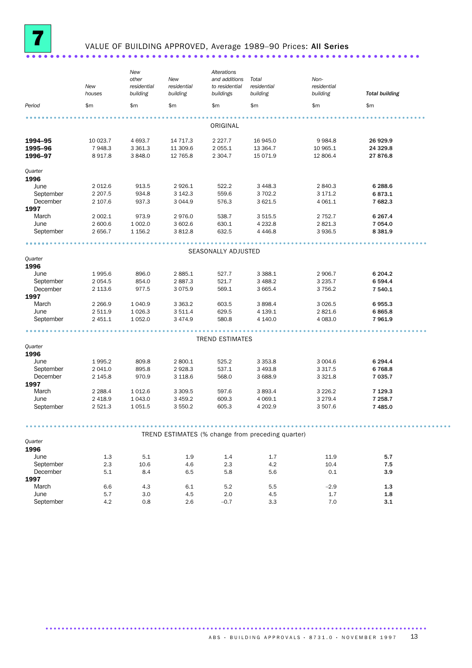

### VALUE OF BUILDING APPROVED, Average 1989-90 Prices: All Series

|                       | New<br>houses         | New<br>other<br>residential<br>building | New<br>residential<br>building | Alterations<br>and additions<br>to residential<br>buildings | Total<br>residential<br>building                  | Non-<br>residential<br>building | <b>Total building</b> |  |
|-----------------------|-----------------------|-----------------------------------------|--------------------------------|-------------------------------------------------------------|---------------------------------------------------|---------------------------------|-----------------------|--|
| Period                | \$m                   | \$m                                     | \$m                            | \$m                                                         | \$m                                               | \$m                             | \$m                   |  |
|                       |                       |                                         |                                |                                                             |                                                   |                                 |                       |  |
|                       |                       |                                         |                                | ORIGINAL                                                    |                                                   |                                 |                       |  |
| 1994-95               | 10 023.7              | 4 693.7                                 | 14 717.3                       | 2 2 2 7 . 7                                                 | 16 945.0                                          | 9 9 8 4.8                       | 26 929.9              |  |
| 1995-96               | 7948.3                | 3 3 6 1.3                               | 11 309.6                       | 2 0 5 5.1                                                   | 13 3 64.7                                         | 10 965.1                        | 24 329.8              |  |
| 1996-97               | 8917.8                | 3848.0                                  | 12 765.8                       | 2 3 0 4.7                                                   | 15 071.9                                          | 12 806.4                        | 27 876.8              |  |
| Quarter               |                       |                                         |                                |                                                             |                                                   |                                 |                       |  |
| 1996                  |                       |                                         |                                |                                                             |                                                   |                                 |                       |  |
| June                  | 2 0 1 2.6             | 913.5                                   | 2926.1                         | 522.2                                                       | 3 4 4 8 . 3                                       | 2 840.3                         | 6 288.6               |  |
| September             | 2 2 0 7.5             | 934.8                                   | 3 142.3                        | 559.6                                                       | 3702.2                                            | 3 171.2                         | 6873.1                |  |
| December              | 2 107.6               | 937.3                                   | 3 0 4 4.9                      | 576.3                                                       | 3 6 2 1.5                                         | 4 0 6 1.1                       | 7 682.3               |  |
| 1997                  |                       |                                         |                                |                                                             |                                                   |                                 |                       |  |
| March                 | 2 002.1               | 973.9                                   | 2976.0                         | 538.7                                                       | 3 5 1 5 .5                                        | 2 7 5 2.7                       | 6 2 6 7 . 4           |  |
| June                  | 2 600.6               | 1 002.0                                 | 3 602.6                        | 630.1                                                       | 4 2 3 2.8                                         | 2821.3                          | 7 054.0               |  |
| September             | 2 656.7               | 1 1 5 6.2                               | 3812.8                         | 632.5                                                       | 4 4 4 6 .8                                        | 3936.5                          | 8 3 8 1.9             |  |
|                       |                       |                                         |                                |                                                             |                                                   |                                 |                       |  |
|                       |                       |                                         |                                | SEASONALLY ADJUSTED                                         |                                                   |                                 |                       |  |
| Quarter               |                       |                                         |                                |                                                             |                                                   |                                 |                       |  |
| 1996<br>June          | 1995.6                | 896.0                                   | 2885.1                         | 527.7                                                       | 3 3 8 8.1                                         | 2 906.7                         | 6 204.2               |  |
| September             | 2 0 5 4 .5            | 854.0                                   | 2887.3                         | 521.7                                                       | 3 4 8 8.2                                         | 3 2 3 5.7                       | 6 594.4               |  |
| December              | 2 1 1 3.6             | 977.5                                   | 3 0 7 5.9                      | 569.1                                                       | 3 6 6 5.4                                         | 3 7 5 6.2                       | 7 540.1               |  |
| 1997                  |                       |                                         |                                |                                                             |                                                   |                                 |                       |  |
| March                 | 2 2 6 6.9             | 1 040.9                                 | 3 3 6 3 . 2                    | 603.5                                                       | 3 8 9 8.4                                         | 3 0 26.5                        | 6955.3                |  |
| June                  | 2 511.9               | 1 0 26.3                                | 3511.4                         | 629.5                                                       | 4 139.1                                           | 2821.6                          | 6865.8                |  |
| September             | 2 451.1               | 1 0 5 2.0                               | 3 4 7 4 .9                     | 580.8                                                       | 4 140.0                                           | 4 0 8 3 . 0                     | 7 961.9               |  |
|                       |                       |                                         |                                |                                                             |                                                   |                                 |                       |  |
|                       |                       |                                         |                                | <b>TREND ESTIMATES</b>                                      |                                                   |                                 |                       |  |
| Quarter               |                       |                                         |                                |                                                             |                                                   |                                 |                       |  |
| 1996                  |                       |                                         |                                |                                                             |                                                   |                                 |                       |  |
| June                  | 1995.2                | 809.8                                   | 2 800.1                        | 525.2                                                       | 3 3 5 3 . 8                                       | 3 0 0 4.6                       | 6 294.4               |  |
| September             | 2 041.0               | 895.8                                   | 2928.3                         | 537.1                                                       | 3 4 9 3.8                                         | 3 3 1 7 .5                      | 6768.8                |  |
| December              | 2 145.8               | 970.9                                   | 3 1 18.6                       | 568.0                                                       | 3 688.9                                           | 3 3 2 1.8                       | 7 035.7               |  |
| 1997                  |                       |                                         |                                |                                                             |                                                   |                                 |                       |  |
| March                 | 2 2 8 8.4             | 1 0 1 2.6                               | 3 3 0 9.5                      | 597.6                                                       | 3893.4                                            | 3 2 2 6.2                       | 7 1 2 9 . 3           |  |
| June<br>September     | 2 4 18.9<br>2 5 2 1.3 | 1 043.0<br>1 0 5 1.5                    | 3 4 5 9.2<br>3 550.2           | 609.3<br>605.3                                              | 4 0 69.1<br>4 202.9                               | 3 2 7 9 . 4<br>3 507.6          | 7 258.7<br>7 485.0    |  |
|                       |                       |                                         |                                |                                                             |                                                   |                                 |                       |  |
|                       |                       |                                         |                                |                                                             |                                                   |                                 |                       |  |
|                       |                       |                                         |                                |                                                             | TREND ESTIMATES (% change from preceding quarter) |                                 |                       |  |
| Quarter               |                       |                                         |                                |                                                             |                                                   |                                 |                       |  |
| 1996                  |                       |                                         |                                |                                                             |                                                   |                                 |                       |  |
| June                  | 1.3                   | 5.1                                     | 1.9                            | 1.4                                                         | 1.7                                               | 11.9                            | 5.7                   |  |
| September<br>December | 2.3                   | 10.6                                    | 4.6                            | 2.3                                                         | 4.2                                               | 10.4                            | 7.5                   |  |
| 1997                  | 5.1                   | 8.4                                     | 6.5                            | 5.8                                                         | 5.6                                               | 0.1                             | 3.9                   |  |
| March                 | 6.6                   | 4.3                                     | 6.1                            | 5.2                                                         | 5.5                                               | $-2.9$                          | $1.3\,$               |  |
| June                  | 5.7                   | 3.0                                     | 4.5                            | 2.0                                                         | 4.5                                               | 1.7                             | 1.8                   |  |
| September             | 4.2                   | 0.8                                     | 2.6                            | $-0.7$                                                      | 3.3                                               | 7.0                             | 3.1                   |  |
|                       |                       |                                         |                                |                                                             |                                                   |                                 |                       |  |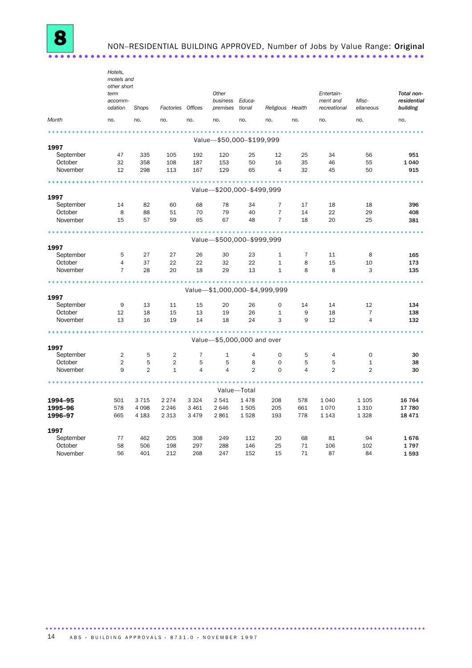NON-RESIDENTIAL BUILDING APPROVED, Number of Jobs by Value Range: Original 

|           | Hotels,<br>motels and<br>other short<br>term<br>accomm- |                     |                                |                     | Other<br>business Educa-      |                |                     |                | Entertain-<br>ment and | Misc-             | Total non-<br>residential |
|-----------|---------------------------------------------------------|---------------------|--------------------------------|---------------------|-------------------------------|----------------|---------------------|----------------|------------------------|-------------------|---------------------------|
|           | odation                                                 | Shops               | Factories Offices              |                     | premises tional               |                | Religious Health    |                | recreational           | ellaneous         | building                  |
| Month     | no.                                                     | no.                 | no.                            | no.                 | no.                           | no.            | no.                 | no.            | no.                    | no.               | no.                       |
|           |                                                         |                     |                                |                     |                               |                |                     |                |                        |                   |                           |
| 1997      |                                                         |                     |                                |                     | Value-\$50,000-\$199,999      |                |                     |                |                        |                   |                           |
| September | 47                                                      | 335                 | 105                            | 192                 | 120                           | 25             | 12                  | 25             | 34                     | 56                | 951                       |
| October   | 32                                                      | 358                 | 108                            | 187                 | 153                           | 50             | 16                  | 35             | 46                     | 55                | 1 0 4 0                   |
| November  | 12                                                      | 298                 | 113                            | 167                 | 129                           | 65             | $\overline{4}$      | 32             | 45                     | 50                | 915                       |
|           |                                                         |                     |                                |                     |                               |                |                     |                |                        |                   |                           |
| 1997      |                                                         |                     |                                |                     | Value-\$200,000-\$499,999     |                |                     |                |                        |                   |                           |
| September | 14                                                      | 82                  | 60                             | 68                  | 78                            | 34             | $\overline{7}$      | 17             | 18                     | 18                | 396                       |
| October   | 8                                                       | 88                  | 51                             | 70                  | 79                            | 40             | $\overline{7}$      | 14             | 22                     | 29                | 408                       |
| November  | 15                                                      | 57                  | 59                             | 65                  | 67                            | 48             | $\overline{7}$      | 18             | 20                     | 25                | 381                       |
|           |                                                         |                     |                                |                     |                               |                |                     |                |                        |                   |                           |
|           |                                                         |                     |                                |                     | Value-\$500,000-\$999,999     |                |                     |                |                        |                   |                           |
| 1997      |                                                         |                     |                                |                     |                               |                |                     |                |                        |                   |                           |
| September | 5                                                       | 27                  | 27                             | 26                  | 30                            | 23             | $\mathbf{1}$        | 7              | 11                     | 8                 | 165                       |
| October   | $\overline{4}$                                          | 37                  | 22                             | 22                  | 32                            | 22             | $\mathbf{1}$        | 8              | 15                     | 10                | 173                       |
| November  | $\overline{7}$                                          | 28                  | 20                             | 18                  | 29                            | 13             | $\mathbf{1}$        | 8              | 8                      | 3                 | 135                       |
|           |                                                         |                     |                                |                     | Value-\$1,000,000-\$4,999,999 |                |                     |                |                        |                   |                           |
| 1997      |                                                         |                     |                                |                     |                               |                |                     |                |                        |                   |                           |
| September | 9                                                       | 13                  | 11                             | 15                  | 20                            | 26             | $\Omega$            | 14             | 14                     | 12                | 134                       |
| October   | 12                                                      | 18                  | 15                             | 13                  | 19                            | 26             | $\mathbf{1}$        | 9              | 18                     | $\overline{7}$    | 138                       |
| November  | 13                                                      | 16                  | 19                             | 14                  | 18                            | 24             | 3                   | 9              | 12                     | 4                 | 132                       |
|           |                                                         |                     |                                |                     |                               |                |                     |                |                        |                   |                           |
|           |                                                         |                     |                                |                     | Value-\$5,000,000 and over    |                |                     |                |                        |                   |                           |
| 1997      |                                                         |                     |                                |                     |                               |                |                     |                |                        |                   |                           |
| September | $\overline{2}$                                          | 5                   | 2                              | $\overline{7}$      | $\mathbf{1}$                  | $\overline{4}$ | $\circ$             | 5              | 4                      | $\mathbf 0$       | 30                        |
| October   | $\overline{2}$                                          | 5<br>$\overline{2}$ | $\overline{2}$<br>$\mathbf{1}$ | 5<br>$\overline{4}$ | 5<br>$\overline{4}$           | 8<br>2         | $\mathsf{O}\xspace$ | 5              | 5<br>$\overline{2}$    | $\mathbf{1}$<br>2 | 38                        |
| November  | 9                                                       |                     |                                |                     |                               |                | $\mathbf 0$         | $\overline{4}$ |                        |                   | 30                        |
|           |                                                         |                     |                                |                     |                               | Value-Total    |                     |                |                        |                   |                           |
| 1994–95   | 501                                                     | 3715                | 2 2 7 4                        | 3 3 2 4             | 2541                          | 1478           | 208                 | 578            | 1 0 4 0                | 1 1 0 5           | 16 764                    |
| 1995-96   | 578                                                     | 4 0 9 8             | 2 2 4 6                        | 3 4 6 1             | 2646                          | 1505           | 205                 | 661            | 1070                   | 1 3 1 0           | 17 780                    |
| 1996-97   | 665                                                     | 4 1 8 3             | 2 3 1 3                        | 3 4 7 9             | 2861                          | 1528           | 193                 | 778            | 1 1 4 3                | 1 3 2 8           | 18 4 7 1                  |
|           |                                                         |                     |                                |                     |                               |                |                     |                |                        |                   |                           |
| 1997      |                                                         |                     |                                |                     |                               |                |                     |                |                        |                   |                           |
| September | 77                                                      | 462                 | 205                            | 308                 | 249                           | 112            | 20                  | 68             | 81                     | 94                | 1676                      |
| October   | 58                                                      | 506                 | 198                            | 297                 | 288                           | 146            | 25                  | 71             | 106                    | 102               | 1797                      |
| November  | 56                                                      | 401                 | 212                            | 268                 | 247                           | 152            | 15                  | 71             | 87                     | 84                | 1593                      |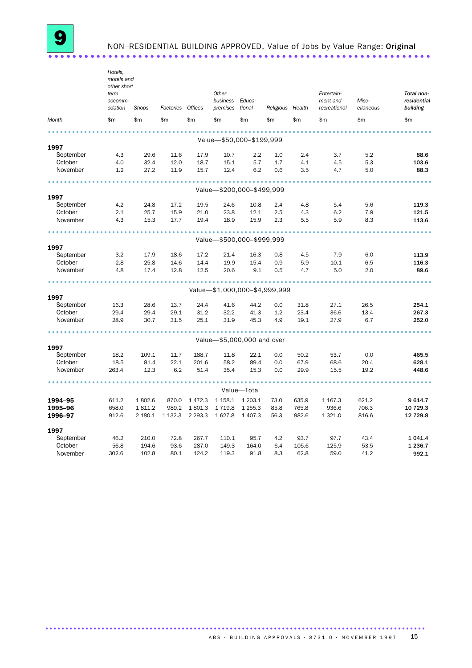NON-RESIDENTIAL BUILDING APPROVED, Value of Jobs by Value Range: Original 

|           | Hotels,<br>motels and<br>other short<br>term |         |             |             | Other                |                            |                               |       | Entertain-               |                    | Total non-              |
|-----------|----------------------------------------------|---------|-------------|-------------|----------------------|----------------------------|-------------------------------|-------|--------------------------|--------------------|-------------------------|
|           | accomm-<br>odation                           | Shops   | Factories   | Offices     | business<br>premises | Educa-<br>tional           | Religious Health              |       | ment and<br>recreational | Misc-<br>ellaneous | residential<br>building |
| Month     | \$m                                          | \$m     | \$m         | \$m         | \$m                  | \$m                        | \$m\$                         | \$m   | \$m                      | \$m                | \$m\$                   |
|           |                                              |         |             |             |                      |                            |                               |       |                          |                    |                         |
| 1997      |                                              |         |             |             |                      | Value-\$50,000-\$199,999   |                               |       |                          |                    |                         |
| September | 4.3                                          | 29.6    | 11.6        | 17.9        | 10.7                 | 2.2                        | 1.0                           | 2.4   | 3.7                      | 5.2                | 88.6                    |
| October   | 4.0                                          | 32.4    | 12.0        | 18.7        | 15.1                 | 5.7                        | 1.7                           | 4.1   | 4.5                      | 5.3                | 103.6                   |
| November  | 1.2                                          | 27.2    | 11.9        | 15.7        | 12.4                 | 6.2                        | 0.6                           | 3.5   | 4.7                      | 5.0                | 88.3                    |
|           |                                              |         |             |             |                      |                            |                               |       |                          |                    |                         |
| 1997      |                                              |         |             |             |                      | Value-\$200,000-\$499,999  |                               |       |                          |                    |                         |
| September | 4.2                                          | 24.8    | 17.2        | 19.5        | 24.6                 | 10.8                       | 2.4                           | 4.8   | 5.4                      | 5.6                | 119.3                   |
| October   | 2.1                                          | 25.7    | 15.9        | 21.0        | 23.8                 | 12.1                       | 2.5                           | 4.3   | 6.2                      | 7.9                | 121.5                   |
| November  | 4.3                                          | 15.3    | 17.7        | 19.4        | 18.9                 | 15.9                       | 2.3                           | 5.5   | 5.9                      | 8.3                | 113.6                   |
|           |                                              |         |             |             |                      |                            |                               |       |                          |                    |                         |
|           |                                              |         |             |             |                      | Value-\$500,000-\$999,999  |                               |       |                          |                    |                         |
| 1997      |                                              |         |             |             |                      |                            |                               |       |                          |                    |                         |
| September | 3.2                                          | 17.9    | 18.6        | 17.2        | 21.4                 | 16.3                       | 0.8                           | 4.5   | 7.9                      | 6.0                | 113.9                   |
| October   | 2.8                                          | 25.8    | 14.6        | 14.4        | 19.9                 | 15.4                       | 0.9                           | 5.9   | 10.1                     | 6.5                | 116.3                   |
| November  | 4.8                                          | 17.4    | 12.8        | 12.5        | 20.6                 | 9.1                        | 0.5                           | 4.7   | 5.0                      | 2.0                | 89.6                    |
|           |                                              |         |             |             |                      |                            | Value-\$1,000,000-\$4,999,999 |       |                          |                    |                         |
| 1997      |                                              |         |             |             |                      |                            |                               |       |                          |                    |                         |
| September | 16.3                                         | 28.6    | 13.7        | 24.4        | 41.6                 | 44.2                       | 0.0                           | 31.8  | 27.1                     | 26.5               | 254.1                   |
| October   | 29.4                                         | 29.4    | 29.1        | 31.2        | 32.2                 | 41.3                       | 1.2                           | 23.4  | 36.6                     | 13.4               | 267.3                   |
| November  | 28.9                                         | 30.7    | 31.5        | 25.1        | 31.9                 | 45.3                       | 4.9                           | 19.1  | 27.9                     | 6.7                | 252.0                   |
|           |                                              |         |             |             |                      |                            |                               |       |                          |                    |                         |
|           |                                              |         |             |             |                      | Value-\$5,000,000 and over |                               |       |                          |                    |                         |
| 1997      |                                              |         |             |             |                      |                            |                               |       |                          |                    |                         |
| September | 18.2                                         | 109.1   | 11.7        | 188.7       | 11.8                 | 22.1                       | 0.0                           | 50.2  | 53.7                     | 0.0                | 465.5                   |
| October   | 18.5                                         | 81.4    | 22.1        | 201.6       | 58.2                 | 89.4                       | 0.0                           | 67.9  | 68.6                     | 20.4               | 628.1                   |
| November  | 263.4                                        | 12.3    | 6.2         | 51.4        | 35.4                 | 15.3                       | 0.0                           | 29.9  | 15.5                     | 19.2               | 448.6                   |
|           |                                              |         |             |             |                      | Value-Total                |                               |       |                          |                    |                         |
| 1994-95   | 611.2                                        | 1802.6  | 870.0       | 1472.3      | 1 1 58.1             | 1 203.1                    | 73.0                          | 635.9 | 1 1 6 7 . 3              | 621.2              | 9614.7                  |
| 1995-96   | 658.0                                        | 1811.2  | 989.2       | 1801.3      | 1719.8               | 1 2 5 5 . 3                | 85.8                          | 765.8 | 936.6                    | 706.3              | 10 729.3                |
| 1996-97   | 912.6                                        | 2 180.1 | 1 1 3 2 . 3 | 2 2 9 3 . 3 | 1627.8               | 1 4 0 7 .3                 | 56.3                          | 982.6 | 1 3 2 1 . 0              | 816.6              | 12 729.8                |
|           |                                              |         |             |             |                      |                            |                               |       |                          |                    |                         |
| 1997      |                                              |         |             |             |                      |                            |                               |       |                          |                    |                         |
| September | 46.2                                         | 210.0   | 72.8        | 267.7       | 110.1                | 95.7                       | 4.2                           | 93.7  | 97.7                     | 43.4               | 1 0 4 1 . 4             |
| October   | 56.8                                         | 194.6   | 93.6        | 287.0       | 149.3                | 164.0                      | 6.4                           | 105.6 | 125.9                    | 53.5               | 1 2 3 6.7               |
| November  | 302.6                                        | 102.8   | 80.1        | 124.2       | 119.3                | 91.8                       | 8.3                           | 62.8  | 59.0                     | 41.2               | 992.1                   |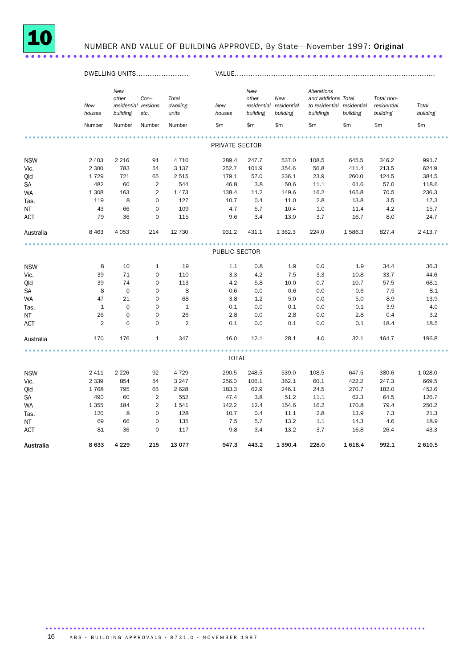

## NUMBER AND VALUE OF BUILDING APPROVED, By State-November 1997: Original

|               |               | DWELLING UNITS                                   |                |                            |                | VALUE                    |                                            |                                                                               |          |                                       |                   |  |
|---------------|---------------|--------------------------------------------------|----------------|----------------------------|----------------|--------------------------|--------------------------------------------|-------------------------------------------------------------------------------|----------|---------------------------------------|-------------------|--|
|               | New<br>houses | New<br>other<br>residential versions<br>building | $Con-$<br>etc. | Total<br>dwelling<br>units | New<br>houses  | New<br>other<br>building | New<br>residential residential<br>building | Alterations<br>and additions Total<br>to residential residential<br>buildings | building | Total non-<br>residential<br>building | Total<br>building |  |
|               | Number        | Number                                           | Number         | Number                     | \$m            | \$m                      | \$m                                        | \$m                                                                           | \$m      | \$m                                   | $\mathsf{Sm}$     |  |
|               |               |                                                  |                |                            | PRIVATE SECTOR |                          |                                            |                                                                               |          |                                       |                   |  |
|               |               |                                                  |                |                            |                |                          |                                            |                                                                               |          |                                       |                   |  |
| <b>NSW</b>    | 2 4 0 3       | 2 2 1 6                                          | 91             | 4 7 1 0                    | 289.4          | 247.7                    | 537.0                                      | 108.5                                                                         | 645.5    | 346.2                                 | 991.7             |  |
| Vic.          | 2 300         | 783                                              | 54             | 3 1 3 7                    | 252.7          | 101.9                    | 354.6                                      | 56.8                                                                          | 411.4    | 213.5                                 | 624.9             |  |
| Qld           | 1729          | 721                                              | 65             | 2515                       | 179.1          | 57.0                     | 236.1                                      | 23.9                                                                          | 260.0    | 124.5                                 | 384.5             |  |
| $\mathsf{SA}$ | 482           | 60                                               | 2              | 544                        | 46.8           | 3.8                      | 50.6                                       | 11.1                                                                          | 61.6     | 57.0                                  | 118.6             |  |
| <b>WA</b>     | 1 3 0 8       | 163                                              | 2              | 1473                       | 138.4          | 11.2                     | 149.6                                      | 16.2                                                                          | 165.8    | 70.5                                  | 236.3             |  |
| Tas.          | 119           | 8                                                | $\mathbf 0$    | 127                        | 10.7           | 0.4                      | 11.0                                       | 2.8                                                                           | 13.8     | 3.5                                   | 17.3              |  |
| NT            | 43            | 66                                               | $\mathbf 0$    | 109                        | 4.7            | 5.7                      | 10.4                                       | 1.0                                                                           | 11.4     | 4.2                                   | 15.7              |  |
| <b>ACT</b>    | 79            | 36                                               | $\mathbf 0$    | 115                        | 9.6            | 3.4                      | 13.0                                       | 3.7                                                                           | 16.7     | 8.0                                   | 24.7              |  |
| Australia     | 8 4 6 3       | 4 0 5 3                                          | 214            | 12 730                     | 931.2          | 431.1                    | 1 3 6 2.3                                  | 224.0                                                                         | 1586.3   | 827.4                                 | 2 4 1 3.7         |  |
|               |               |                                                  |                |                            |                |                          |                                            |                                                                               |          |                                       |                   |  |
|               |               |                                                  |                |                            | PUBLIC SECTOR  |                          |                                            |                                                                               |          |                                       |                   |  |
| <b>NSW</b>    | 8             | 10                                               | $\mathbf{1}$   | 19                         | 1.1            | 0.8                      | 1.9                                        | 0.0                                                                           | 1.9      | 34.4                                  | 36.3              |  |
| Vic.          | 39            | 71                                               | $\mathbf 0$    | 110                        | 3.3            | 4.2                      | 7.5                                        | 3.3                                                                           | 10.8     | 33.7                                  | 44.6              |  |
| Qld           | 39            | 74                                               | $\mathbf 0$    | 113                        | 4.2            | 5.8                      | 10.0                                       | 0.7                                                                           | 10.7     | 57.5                                  | 68.1              |  |
| SA            | 8             | $\mathbf 0$                                      | $\mathbf 0$    | 8                          | 0.6            | 0.0                      | 0.6                                        | 0.0                                                                           | 0.6      | 7.5                                   | 8.1               |  |
| <b>WA</b>     | 47            | 21                                               | $\mathbf 0$    | 68                         | 3.8            | 1.2                      | 5.0                                        | 0.0                                                                           | 5.0      | 8.9                                   | 13.9              |  |
| Tas.          | $\mathbf{1}$  | $\mathbf 0$                                      | $\mathbf 0$    | $\mathbf{1}$               | 0.1            | 0.0                      | 0.1                                        | 0.0                                                                           | 0.1      | 3.9                                   | 4.0               |  |
| NT            | 26            | $\mathbf 0$                                      | $\mathbf 0$    | 26                         | 2.8            | 0.0                      | 2.8                                        | 0.0                                                                           | 2.8      | 0.4                                   | 3.2               |  |
| ACT           | $\mathbf{2}$  | 0                                                | $\mathbf 0$    | $\overline{2}$             | 0.1            | 0.0                      | 0.1                                        | 0.0                                                                           | 0.1      | 18.4                                  | 18.5              |  |
| Australia     | 170           | 176                                              | $\mathbf{1}$   | 347                        | 16.0           | 12.1                     | 28.1                                       | 4.0                                                                           | 32.1     | 164.7                                 | 196.8             |  |
|               |               |                                                  |                |                            |                |                          |                                            |                                                                               |          |                                       |                   |  |
|               |               |                                                  |                |                            | TOTAL          |                          |                                            |                                                                               |          |                                       |                   |  |
| <b>NSW</b>    | 2 4 1 1       | 2 2 2 6                                          | 92             | 4 7 2 9                    | 290.5          | 248.5                    | 539.0                                      | 108.5                                                                         | 647.5    | 380.6                                 | 1 0 28.0          |  |
| Vic.          | 2 3 3 9       | 854                                              | 54             | 3 2 4 7                    | 256.0          | 106.1                    | 362.1                                      | 60.1                                                                          | 422.2    | 247.3                                 | 669.5             |  |
| Qld           | 1768          | 795                                              | 65             | 2628                       | 183.3          | 62.9                     | 246.1                                      | 24.5                                                                          | 270.7    | 182.0                                 | 452.6             |  |
| SA            | 490           | 60                                               | 2              | 552                        | 47.4           | 3.8                      | 51.2                                       | 11.1                                                                          | 62.3     | 64.5                                  | 126.7             |  |
| <b>WA</b>     | 1 3 5 5       | 184                                              | 2              | 1541                       | 142.2          | 12.4                     | 154.6                                      | 16.2                                                                          | 170.8    | 79.4                                  | 250.2             |  |
| Tas.          | 120           | 8                                                | $\Omega$       | 128                        | 10.7           | 0.4                      | 11.1                                       | 2.8                                                                           | 13.9     | 7.3                                   | 21.3              |  |
| NT            | 69            | 66                                               | $\mathbf 0$    | 135                        | 7.5            | 5.7                      | 13.2                                       | 1.1                                                                           | 14.3     | 4.6                                   | 18.9              |  |
| <b>ACT</b>    | 81            | 36                                               | $\Omega$       | 117                        | 9.8            | 3.4                      | 13.2                                       | 3.7                                                                           | 16.8     | 26.4                                  | 43.3              |  |
| Australia     | 8633          | 4 2 2 9                                          | 215            | 13 0 77                    | 947.3          | 443.2                    | 1 3 9 0.4                                  | 228.0                                                                         | 1 6 18.4 | 992.1                                 | 2 610.5           |  |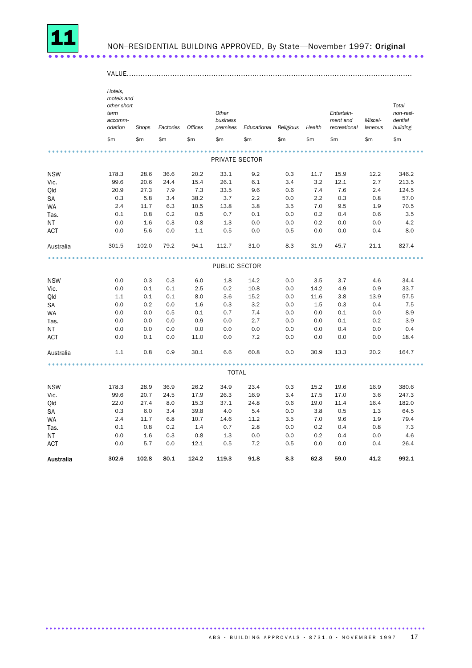

## NON-RESIDENTIAL BUILDING APPROVED, By State-November 1997: Original

|            | Hotels,<br>motels and<br>other short<br>term<br>accomm- |       |           |                | Other<br>business |                              |     |               | Entertain-<br>ment and | Miscel- | Total<br>non-resi-<br>dential |
|------------|---------------------------------------------------------|-------|-----------|----------------|-------------------|------------------------------|-----|---------------|------------------------|---------|-------------------------------|
|            | odation                                                 | Shops | Factories | <b>Offices</b> | premises          | Educational Religious Health |     |               | recreational           | laneous | building                      |
|            | \$m                                                     | \$m   | \$m       | \$m            | \$m               | \$m                          | \$m | $\mathsf{Sm}$ | \$m                    | \$m     | \$m                           |
|            |                                                         |       |           |                |                   |                              |     |               |                        |         |                               |
|            |                                                         |       |           |                | PRIVATE SECTOR    |                              |     |               |                        |         |                               |
| <b>NSW</b> | 178.3                                                   | 28.6  | 36.6      | 20.2           | 33.1              | 9.2                          | 0.3 | 11.7          | 15.9                   | 12.2    | 346.2                         |
| Vic.       | 99.6                                                    | 20.6  | 24.4      | 15.4           | 26.1              | 6.1                          | 3.4 | 3.2           | 12.1                   | 2.7     | 213.5                         |
| Qld        | 20.9                                                    | 27.3  | 7.9       | 7.3            | 33.5              | 9.6                          | 0.6 | 7.4           | 7.6                    | 2.4     | 124.5                         |
| SA         | 0.3                                                     | 5.8   | 3.4       | 38.2           | 3.7               | 2.2                          | 0.0 | 2.2           | 0.3                    | 0.8     | 57.0                          |
| WA         | 2.4                                                     | 11.7  | 6.3       | 10.5           | 13.8              | 3.8                          | 3.5 | 7.0           | 9.5                    | 1.9     | 70.5                          |
| Tas.       | 0.1                                                     | 0.8   | 0.2       | 0.5            | 0.7               | 0.1                          | 0.0 | 0.2           | 0.4                    | 0.6     | 3.5                           |
| <b>NT</b>  | 0.0                                                     | 1.6   | 0.3       | 0.8            | 1.3               | 0.0                          | 0.0 | 0.2           | 0.0                    | 0.0     | 4.2                           |
| ACT        | 0.0                                                     | 5.6   | 0.0       | 1.1            | 0.5               | 0.0                          | 0.5 | 0.0           | 0.0                    | 0.4     | 8.0                           |
| Australia  | 301.5                                                   | 102.0 | 79.2      | 94.1           | 112.7             | 31.0                         | 8.3 | 31.9          | 45.7                   | 21.1    | 827.4                         |
|            |                                                         |       |           |                | PUBLIC SECTOR     |                              |     |               |                        |         |                               |
|            |                                                         |       |           |                |                   |                              |     |               |                        |         |                               |
| <b>NSW</b> | 0.0                                                     | 0.3   | 0.3       | 6.0            | 1.8               | 14.2                         | 0.0 | 3.5           | 3.7                    | 4.6     | 34.4                          |
| Vic.       | 0.0                                                     | 0.1   | 0.1       | 2.5            | 0.2               | 10.8                         | 0.0 | 14.2          | 4.9                    | 0.9     | 33.7                          |
| Qld        | 1.1                                                     | 0.1   | 0.1       | 8.0            | 3.6               | 15.2                         | 0.0 | 11.6          | 3.8                    | 13.9    | 57.5                          |
| <b>SA</b>  | 0.0                                                     | 0.2   | 0.0       | 1.6            | 0.3               | 3.2                          | 0.0 | 1.5           | 0.3                    | 0.4     | 7.5                           |
| WA         | 0.0                                                     | 0.0   | 0.5       | 0.1            | 0.7               | 7.4                          | 0.0 | 0.0           | 0.1                    | 0.0     | 8.9                           |
| Tas.       | 0.0                                                     | 0.0   | 0.0       | 0.9            | 0.0               | 2.7                          | 0.0 | 0.0           | 0.1                    | 0.2     | 3.9                           |
| NT         | 0.0                                                     | 0.0   | 0.0       | 0.0            | 0.0               | 0.0                          | 0.0 | 0.0           | 0.4                    | 0.0     | 0.4                           |
| ACT        | 0.0                                                     | 0.1   | 0.0       | 11.0           | 0.0               | 7.2                          | 0.0 | 0.0           | 0.0                    | 0.0     | 18.4                          |
| Australia  | 1.1                                                     | 0.8   | 0.9       | 30.1           | 6.6               | 60.8                         | 0.0 | 30.9          | 13.3                   | 20.2    | 164.7                         |
|            |                                                         |       |           |                | <b>TOTAL</b>      |                              |     |               |                        |         |                               |
|            |                                                         |       |           |                |                   |                              |     |               |                        |         |                               |
| <b>NSW</b> | 178.3                                                   | 28.9  | 36.9      | 26.2           | 34.9              | 23.4                         | 0.3 | 15.2          | 19.6                   | 16.9    | 380.6                         |
| Vic.       | 99.6                                                    | 20.7  | 24.5      | 17.9           | 26.3              | 16.9                         | 3.4 | 17.5          | 17.0                   | 3.6     | 247.3                         |
| Qld        | 22.0                                                    | 27.4  | 8.0       | 15.3           | 37.1              | 24.8                         | 0.6 | 19.0          | 11.4                   | 16.4    | 182.0                         |
| SA         | 0.3                                                     | 6.0   | 3.4       | 39.8           | 4.0               | 5.4                          | 0.0 | 3.8           | 0.5                    | 1.3     | 64.5                          |
| WA         | 2.4                                                     | 11.7  | 6.8       | 10.7           | 14.6              | 11.2                         | 3.5 | 7.0           | 9.6                    | 1.9     | 79.4                          |
| Tas.       | 0.1                                                     | 0.8   | 0.2       | 1.4            | 0.7               | 2.8                          | 0.0 | 0.2           | 0.4                    | 0.8     | 7.3                           |
| NT         | 0.0                                                     | 1.6   | 0.3       | 0.8            | 1.3               | 0.0                          | 0.0 | 0.2           | 0.4                    | 0.0     | 4.6                           |
| <b>ACT</b> | 0.0                                                     | 5.7   | 0.0       | 12.1           | 0.5               | 7.2                          | 0.5 | 0.0           | 0.0                    | 0.4     | 26.4                          |
| Australia  | 302.6                                                   | 102.8 | 80.1      | 124.2          | 119.3             | 91.8                         | 8.3 | 62.8          | 59.0                   | 41.2    | 992.1                         |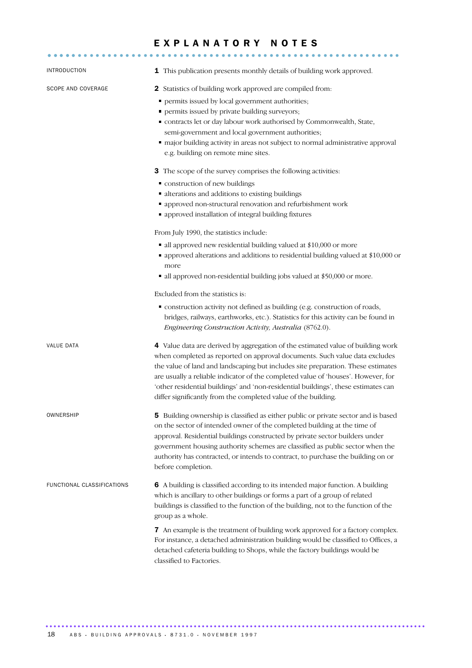## EXPLANATORY NOTES

| <b>INTRODUCTION</b>        | 1 This publication presents monthly details of building work approved.                                                                                                                                                                                                                                                                                                                                                                                                                         |
|----------------------------|------------------------------------------------------------------------------------------------------------------------------------------------------------------------------------------------------------------------------------------------------------------------------------------------------------------------------------------------------------------------------------------------------------------------------------------------------------------------------------------------|
| SCOPE AND COVERAGE         | 2 Statistics of building work approved are compiled from:<br>permits issued by local government authorities;<br>٠<br>• permits issued by private building surveyors;<br>" contracts let or day labour work authorised by Commonwealth, State,<br>semi-government and local government authorities;<br>" major building activity in areas not subject to normal administrative approval<br>e.g. building on remote mine sites.                                                                  |
|                            | 3 The scope of the survey comprises the following activities:<br>" construction of new buildings<br>· alterations and additions to existing buildings<br>• approved non-structural renovation and refurbishment work<br>• approved installation of integral building fixtures                                                                                                                                                                                                                  |
|                            | From July 1990, the statistics include:<br>all approved new residential building valued at \$10,000 or more<br>• approved alterations and additions to residential building valued at \$10,000 or<br>more<br>all approved non-residential building jobs valued at \$50,000 or more.                                                                                                                                                                                                            |
|                            | Excluded from the statistics is:<br>• construction activity not defined as building (e.g. construction of roads,<br>bridges, railways, earthworks, etc.). Statistics for this activity can be found in<br>Engineering Construction Activity, Australia (8762.0).                                                                                                                                                                                                                               |
| <b>VALUE DATA</b>          | 4 Value data are derived by aggregation of the estimated value of building work<br>when completed as reported on approval documents. Such value data excludes<br>the value of land and landscaping but includes site preparation. These estimates<br>are usually a reliable indicator of the completed value of 'houses'. However, for<br>'other residential buildings' and 'non-residential buildings', these estimates can<br>differ significantly from the completed value of the building. |
| OWNERSHIP                  | 5 Building ownership is classified as either public or private sector and is based<br>on the sector of intended owner of the completed building at the time of<br>approval. Residential buildings constructed by private sector builders under<br>government housing authority schemes are classified as public sector when the<br>authority has contracted, or intends to contract, to purchase the building on or<br>before completion.                                                      |
| FUNCTIONAL CLASSIFICATIONS | 6 A building is classified according to its intended major function. A building<br>which is ancillary to other buildings or forms a part of a group of related<br>buildings is classified to the function of the building, not to the function of the<br>group as a whole.                                                                                                                                                                                                                     |
|                            | 7 An example is the treatment of building work approved for a factory complex.<br>For instance, a detached administration building would be classified to Offices, a<br>detached cafeteria building to Shops, while the factory buildings would be<br>classified to Factories.                                                                                                                                                                                                                 |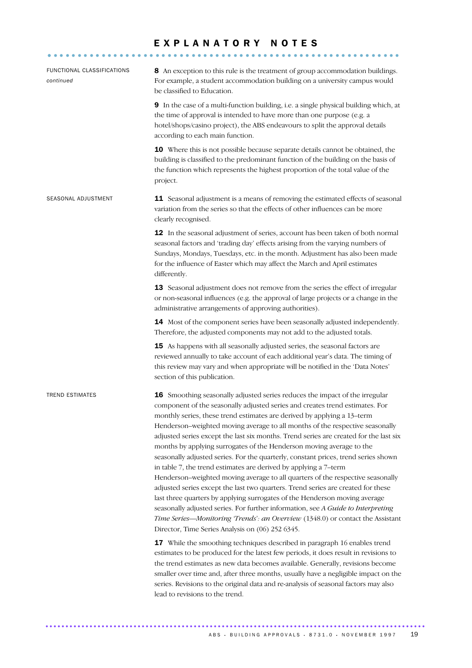## EXPLANATORY NOTES

| FUNCTIONAL CLASSIFICATIONS<br>continued | 8 An exception to this rule is the treatment of group accommodation buildings.<br>For example, a student accommodation building on a university campus would<br>be classified to Education.                                                                                                                                                                                                                                                                                                                                                                                                                                                                                                                                                                                                                                                                                                                                                                                                                                                                                                                                                                                                                                                                                                                                                                                                                                                                                                                                                                                                           |
|-----------------------------------------|-------------------------------------------------------------------------------------------------------------------------------------------------------------------------------------------------------------------------------------------------------------------------------------------------------------------------------------------------------------------------------------------------------------------------------------------------------------------------------------------------------------------------------------------------------------------------------------------------------------------------------------------------------------------------------------------------------------------------------------------------------------------------------------------------------------------------------------------------------------------------------------------------------------------------------------------------------------------------------------------------------------------------------------------------------------------------------------------------------------------------------------------------------------------------------------------------------------------------------------------------------------------------------------------------------------------------------------------------------------------------------------------------------------------------------------------------------------------------------------------------------------------------------------------------------------------------------------------------------|
|                                         | 9 In the case of a multi-function building, i.e. a single physical building which, at<br>the time of approval is intended to have more than one purpose (e.g. a<br>hotel/shops/casino project), the ABS endeavours to split the approval details<br>according to each main function.                                                                                                                                                                                                                                                                                                                                                                                                                                                                                                                                                                                                                                                                                                                                                                                                                                                                                                                                                                                                                                                                                                                                                                                                                                                                                                                  |
|                                         | 10 Where this is not possible because separate details cannot be obtained, the<br>building is classified to the predominant function of the building on the basis of<br>the function which represents the highest proportion of the total value of the<br>project.                                                                                                                                                                                                                                                                                                                                                                                                                                                                                                                                                                                                                                                                                                                                                                                                                                                                                                                                                                                                                                                                                                                                                                                                                                                                                                                                    |
| SEASONAL ADJUSTMENT                     | 11 Seasonal adjustment is a means of removing the estimated effects of seasonal<br>variation from the series so that the effects of other influences can be more<br>clearly recognised.                                                                                                                                                                                                                                                                                                                                                                                                                                                                                                                                                                                                                                                                                                                                                                                                                                                                                                                                                                                                                                                                                                                                                                                                                                                                                                                                                                                                               |
|                                         | 12 In the seasonal adjustment of series, account has been taken of both normal<br>seasonal factors and 'trading day' effects arising from the varying numbers of<br>Sundays, Mondays, Tuesdays, etc. in the month. Adjustment has also been made<br>for the influence of Easter which may affect the March and April estimates<br>differently.                                                                                                                                                                                                                                                                                                                                                                                                                                                                                                                                                                                                                                                                                                                                                                                                                                                                                                                                                                                                                                                                                                                                                                                                                                                        |
|                                         | 13 Seasonal adjustment does not remove from the series the effect of irregular<br>or non-seasonal influences (e.g. the approval of large projects or a change in the<br>administrative arrangements of approving authorities).                                                                                                                                                                                                                                                                                                                                                                                                                                                                                                                                                                                                                                                                                                                                                                                                                                                                                                                                                                                                                                                                                                                                                                                                                                                                                                                                                                        |
|                                         | 14 Most of the component series have been seasonally adjusted independently.<br>Therefore, the adjusted components may not add to the adjusted totals.                                                                                                                                                                                                                                                                                                                                                                                                                                                                                                                                                                                                                                                                                                                                                                                                                                                                                                                                                                                                                                                                                                                                                                                                                                                                                                                                                                                                                                                |
|                                         | 15 As happens with all seasonally adjusted series, the seasonal factors are<br>reviewed annually to take account of each additional year's data. The timing of<br>this review may vary and when appropriate will be notified in the 'Data Notes'<br>section of this publication.                                                                                                                                                                                                                                                                                                                                                                                                                                                                                                                                                                                                                                                                                                                                                                                                                                                                                                                                                                                                                                                                                                                                                                                                                                                                                                                      |
| <b>TREND ESTIMATES</b>                  | 16 Smoothing seasonally adjusted series reduces the impact of the irregular<br>component of the seasonally adjusted series and creates trend estimates. For<br>monthly series, these trend estimates are derived by applying a 13-term<br>Henderson-weighted moving average to all months of the respective seasonally<br>adjusted series except the last six months. Trend series are created for the last six<br>months by applying surrogates of the Henderson moving average to the<br>seasonally adjusted series. For the quarterly, constant prices, trend series shown<br>in table 7, the trend estimates are derived by applying a 7-term<br>Henderson-weighted moving average to all quarters of the respective seasonally<br>adjusted series except the last two quarters. Trend series are created for these<br>last three quarters by applying surrogates of the Henderson moving average<br>seasonally adjusted series. For further information, see A Guide to Interpreting<br>Time Series-Monitoring 'Trends': an Overview (1348.0) or contact the Assistant<br>Director, Time Series Analysis on (06) 252 6345.<br>17 While the smoothing techniques described in paragraph 16 enables trend<br>estimates to be produced for the latest few periods, it does result in revisions to<br>the trend estimates as new data becomes available. Generally, revisions become<br>smaller over time and, after three months, usually have a negligible impact on the<br>series. Revisions to the original data and re-analysis of seasonal factors may also<br>lead to revisions to the trend. |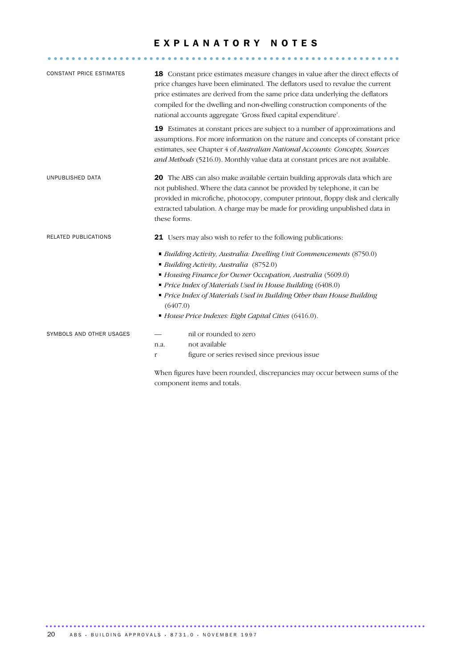## EXPLANATORY NOTES

| <b>CONSTANT PRICE ESTIMATES</b> |                                                                                 | <b>18</b> Constant price estimates measure changes in value after the direct effects of<br>price changes have been eliminated. The deflators used to revalue the current<br>price estimates are derived from the same price data underlying the deflators<br>compiled for the dwelling and non-dwelling construction components of the<br>national accounts aggregate 'Gross fixed capital expenditure'. |  |  |  |  |  |
|---------------------------------|---------------------------------------------------------------------------------|----------------------------------------------------------------------------------------------------------------------------------------------------------------------------------------------------------------------------------------------------------------------------------------------------------------------------------------------------------------------------------------------------------|--|--|--|--|--|
|                                 |                                                                                 | 19 Estimates at constant prices are subject to a number of approximations and<br>assumptions. For more information on the nature and concepts of constant price<br>estimates, see Chapter 4 of Australian National Accounts: Concepts, Sources<br>and Methods (5216.0). Monthly value data at constant prices are not available.                                                                         |  |  |  |  |  |
| UNPUBLISHED DATA                | these forms.                                                                    | 20 The ABS can also make available certain building approvals data which are<br>not published. Where the data cannot be provided by telephone, it can be<br>provided in microfiche, photocopy, computer printout, floppy disk and clerically<br>extracted tabulation. A charge may be made for providing unpublished data in                                                                             |  |  |  |  |  |
| RELATED PUBLICATIONS            |                                                                                 | 21 Users may also wish to refer to the following publications:                                                                                                                                                                                                                                                                                                                                           |  |  |  |  |  |
|                                 |                                                                                 | • Building Activity, Australia: Dwelling Unit Commencements (8750.0)<br>Building Activity, Australia (8752.0)                                                                                                                                                                                                                                                                                            |  |  |  |  |  |
|                                 | Housing Finance for Owner Occupation, Australia (5609.0)                        |                                                                                                                                                                                                                                                                                                                                                                                                          |  |  |  |  |  |
|                                 | Price Index of Materials Used in House Building (6408.0)                        |                                                                                                                                                                                                                                                                                                                                                                                                          |  |  |  |  |  |
|                                 | Price Index of Materials Used in Building Other than House Building<br>(6407.0) |                                                                                                                                                                                                                                                                                                                                                                                                          |  |  |  |  |  |
|                                 |                                                                                 | House Price Indexes: Eight Capital Cities (6416.0).                                                                                                                                                                                                                                                                                                                                                      |  |  |  |  |  |
| SYMBOLS AND OTHER USAGES        |                                                                                 | nil or rounded to zero                                                                                                                                                                                                                                                                                                                                                                                   |  |  |  |  |  |
|                                 | n.a.                                                                            | not available                                                                                                                                                                                                                                                                                                                                                                                            |  |  |  |  |  |
|                                 | $\mathbf{r}$                                                                    | figure or series revised since previous issue                                                                                                                                                                                                                                                                                                                                                            |  |  |  |  |  |
|                                 |                                                                                 | When figures have been rounded, discrepancies may occur between sums of the                                                                                                                                                                                                                                                                                                                              |  |  |  |  |  |
|                                 |                                                                                 | component items and totals.                                                                                                                                                                                                                                                                                                                                                                              |  |  |  |  |  |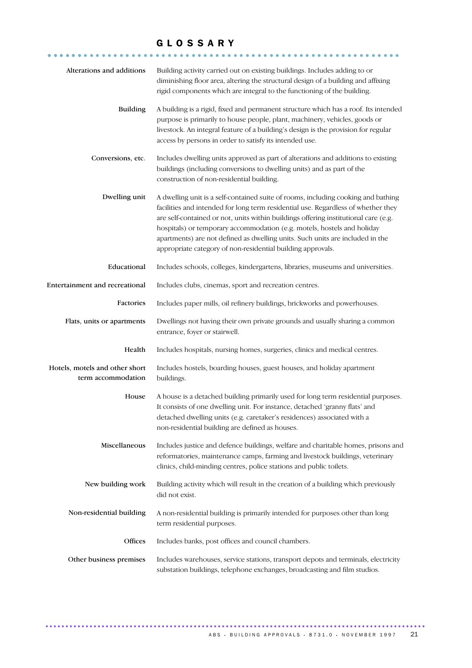## GLOSSARY

| Alterations and additions                            | Building activity carried out on existing buildings. Includes adding to or<br>diminishing floor area, altering the structural design of a building and affixing<br>rigid components which are integral to the functioning of the building.                                                                                                                                                                                                                                               |
|------------------------------------------------------|------------------------------------------------------------------------------------------------------------------------------------------------------------------------------------------------------------------------------------------------------------------------------------------------------------------------------------------------------------------------------------------------------------------------------------------------------------------------------------------|
| <b>Building</b>                                      | A building is a rigid, fixed and permanent structure which has a roof. Its intended<br>purpose is primarily to house people, plant, machinery, vehicles, goods or<br>livestock. An integral feature of a building's design is the provision for regular<br>access by persons in order to satisfy its intended use.                                                                                                                                                                       |
| Conversions, etc.                                    | Includes dwelling units approved as part of alterations and additions to existing<br>buildings (including conversions to dwelling units) and as part of the<br>construction of non-residential building.                                                                                                                                                                                                                                                                                 |
| Dwelling unit                                        | A dwelling unit is a self-contained suite of rooms, including cooking and bathing<br>facilities and intended for long term residential use. Regardless of whether they<br>are self-contained or not, units within buildings offering institutional care (e.g.<br>hospitals) or temporary accommodation (e.g. motels, hostels and holiday<br>apartments) are not defined as dwelling units. Such units are included in the<br>appropriate category of non-residential building approvals. |
| Educational                                          | Includes schools, colleges, kindergartens, libraries, museums and universities.                                                                                                                                                                                                                                                                                                                                                                                                          |
| Entertainment and recreational                       | Includes clubs, cinemas, sport and recreation centres.                                                                                                                                                                                                                                                                                                                                                                                                                                   |
| Factories                                            | Includes paper mills, oil refinery buildings, brickworks and powerhouses.                                                                                                                                                                                                                                                                                                                                                                                                                |
| Flats, units or apartments                           | Dwellings not having their own private grounds and usually sharing a common<br>entrance, foyer or stairwell.                                                                                                                                                                                                                                                                                                                                                                             |
| Health                                               | Includes hospitals, nursing homes, surgeries, clinics and medical centres.                                                                                                                                                                                                                                                                                                                                                                                                               |
| Hotels, motels and other short<br>term accommodation | Includes hostels, boarding houses, guest houses, and holiday apartment<br>buildings.                                                                                                                                                                                                                                                                                                                                                                                                     |
| House                                                | A house is a detached building primarily used for long term residential purposes.<br>It consists of one dwelling unit. For instance, detached 'granny flats' and<br>detached dwelling units (e.g. caretaker's residences) associated with a<br>non-residential building are defined as houses.                                                                                                                                                                                           |
| Miscellaneous                                        | Includes justice and defence buildings, welfare and charitable homes, prisons and<br>reformatories, maintenance camps, farming and livestock buildings, veterinary<br>clinics, child-minding centres, police stations and public toilets.                                                                                                                                                                                                                                                |
| New building work                                    | Building activity which will result in the creation of a building which previously<br>did not exist.                                                                                                                                                                                                                                                                                                                                                                                     |
| Non-residential building                             | A non-residential building is primarily intended for purposes other than long<br>term residential purposes.                                                                                                                                                                                                                                                                                                                                                                              |
| Offices                                              | Includes banks, post offices and council chambers.                                                                                                                                                                                                                                                                                                                                                                                                                                       |
| Other business premises                              | Includes warehouses, service stations, transport depots and terminals, electricity<br>substation buildings, telephone exchanges, broadcasting and film studios.                                                                                                                                                                                                                                                                                                                          |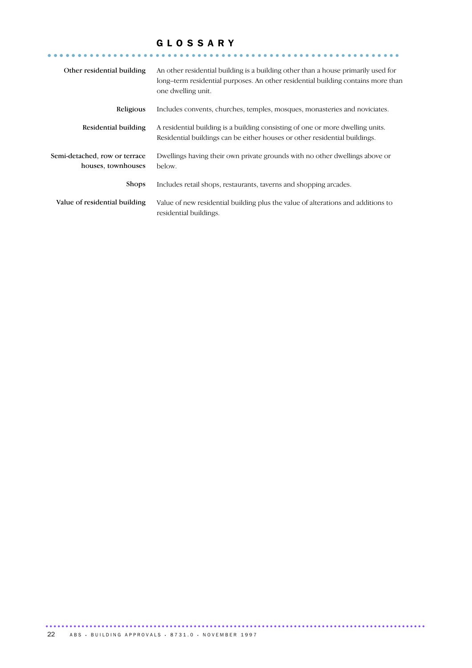## GLOSSARY

| Other residential building                          | An other residential building is a building other than a house primarily used for<br>long-term residential purposes. An other residential building contains more than<br>one dwelling unit. |
|-----------------------------------------------------|---------------------------------------------------------------------------------------------------------------------------------------------------------------------------------------------|
| Religious                                           | Includes convents, churches, temples, mosques, monasteries and noviciates.                                                                                                                  |
| Residential building                                | A residential building is a building consisting of one or more dwelling units.<br>Residential buildings can be either houses or other residential buildings.                                |
| Semi-detached, row or terrace<br>houses, townhouses | Dwellings having their own private grounds with no other dwellings above or<br>below.                                                                                                       |
| <b>Shops</b>                                        | Includes retail shops, restaurants, taverns and shopping arcades.                                                                                                                           |
| Value of residential building                       | Value of new residential building plus the value of alterations and additions to<br>residential buildings.                                                                                  |